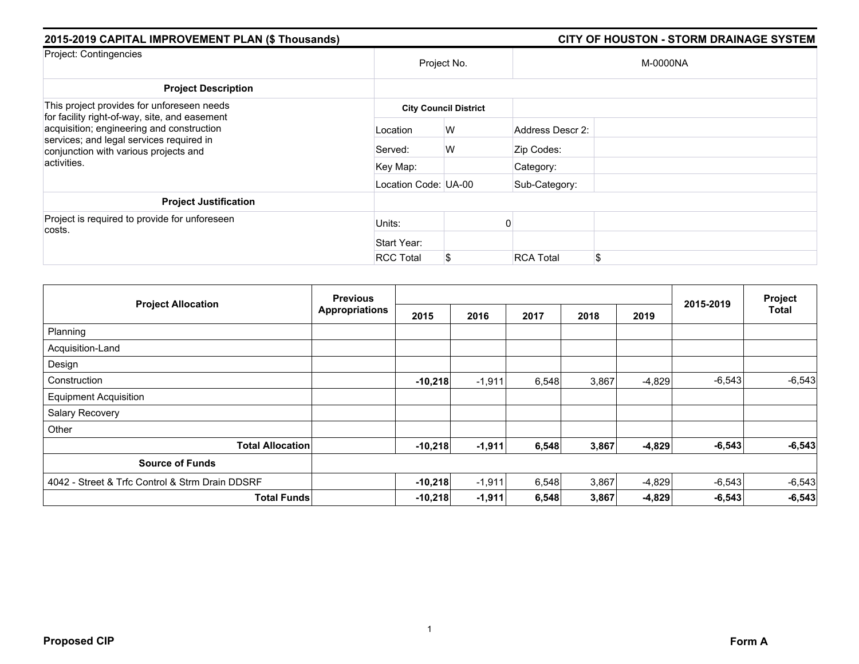| 2015-2019 CAPITAL IMPROVEMENT PLAN (\$ Thousands)                                                                              |                      |                              |                  | CITY OF HOUSTON - STORM DRAINAGE SYSTEM |
|--------------------------------------------------------------------------------------------------------------------------------|----------------------|------------------------------|------------------|-----------------------------------------|
| Project: Contingencies                                                                                                         |                      | Project No.                  |                  | M-0000NA                                |
| <b>Project Description</b>                                                                                                     |                      |                              |                  |                                         |
| This project provides for unforeseen needs<br>for facility right-of-way, site, and easement                                    |                      | <b>City Council District</b> |                  |                                         |
| acquisition; engineering and construction<br>services; and legal services required in<br>conjunction with various projects and | Location             | W                            | Address Descr 2: |                                         |
|                                                                                                                                | Served:              | W                            | Zip Codes:       |                                         |
| activities.                                                                                                                    | Key Map:             |                              | Category:        |                                         |
|                                                                                                                                | Location Code: UA-00 |                              | Sub-Category:    |                                         |
| <b>Project Justification</b>                                                                                                   |                      |                              |                  |                                         |
| Project is required to provide for unforeseen<br>costs.                                                                        | Units:               |                              |                  |                                         |
|                                                                                                                                | Start Year:          |                              |                  |                                         |
|                                                                                                                                | <b>RCC Total</b>     | S                            | <b>RCA Total</b> | \$                                      |

| <b>Project Allocation</b>                       | <b>Previous</b>       |           |          |       | Project |          |           |              |
|-------------------------------------------------|-----------------------|-----------|----------|-------|---------|----------|-----------|--------------|
|                                                 | <b>Appropriations</b> | 2015      | 2016     | 2017  | 2018    | 2019     | 2015-2019 | <b>Total</b> |
| Planning                                        |                       |           |          |       |         |          |           |              |
| Acquisition-Land                                |                       |           |          |       |         |          |           |              |
| Design                                          |                       |           |          |       |         |          |           |              |
| Construction                                    |                       | $-10,218$ | $-1,911$ | 6,548 | 3,867   | $-4,829$ | $-6,543$  | $-6,543$     |
| <b>Equipment Acquisition</b>                    |                       |           |          |       |         |          |           |              |
| <b>Salary Recovery</b>                          |                       |           |          |       |         |          |           |              |
| Other                                           |                       |           |          |       |         |          |           |              |
| <b>Total Allocation</b>                         |                       | $-10,218$ | $-1,911$ | 6,548 | 3,867   | $-4,829$ | $-6,543$  | $-6,543$     |
| <b>Source of Funds</b>                          |                       |           |          |       |         |          |           |              |
| 4042 - Street & Trfc Control & Strm Drain DDSRF |                       | $-10,218$ | $-1,911$ | 6,548 | 3,867   | $-4,829$ | $-6,543$  | $-6,543$     |
| <b>Total Funds</b>                              |                       | $-10,218$ | $-1,911$ | 6,548 | 3,867   | $-4,829$ | $-6,543$  | $-6,543$     |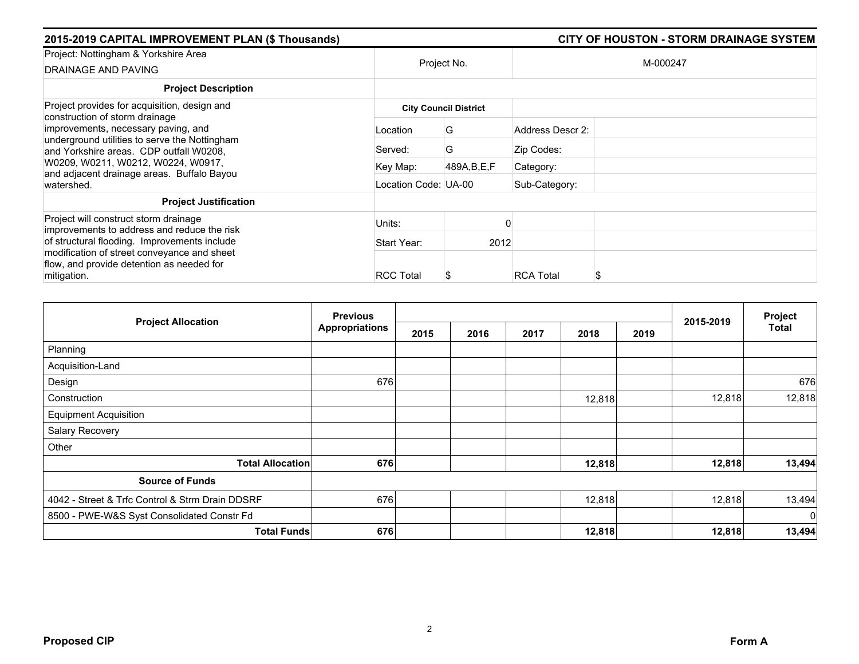| 2015-2019 CAPITAL IMPROVEMENT PLAN (\$ Thousands)                                                                                                       |                      | <b>CITY OF HOUSTON - STORM DRAINAGE SYSTEM</b> |                  |          |  |
|---------------------------------------------------------------------------------------------------------------------------------------------------------|----------------------|------------------------------------------------|------------------|----------|--|
| Project: Nottingham & Yorkshire Area<br>DRAINAGE AND PAVING                                                                                             | Project No.          |                                                |                  | M-000247 |  |
| <b>Project Description</b>                                                                                                                              |                      |                                                |                  |          |  |
| Project provides for acquisition, design and<br>construction of storm drainage                                                                          |                      | <b>City Council District</b>                   |                  |          |  |
| improvements, necessary paving, and<br>underground utilities to serve the Nottingham<br>and Yorkshire areas. CDP outfall W0208.                         | Location             | G                                              | Address Descr 2: |          |  |
|                                                                                                                                                         | Served:              | G                                              | Zip Codes:       |          |  |
| W0209, W0211, W0212, W0224, W0917,<br>and adjacent drainage areas. Buffalo Bayou                                                                        | Key Map:             | 489A, B, E, F                                  | Category:        |          |  |
| watershed.                                                                                                                                              | Location Code: UA-00 |                                                | Sub-Category:    |          |  |
| <b>Project Justification</b>                                                                                                                            |                      |                                                |                  |          |  |
| Project will construct storm drainage<br>improvements to address and reduce the risk                                                                    | Units:               |                                                |                  |          |  |
| of structural flooding. Improvements include<br>modification of street conveyance and sheet<br>flow, and provide detention as needed for<br>mitigation. | Start Year:          | 2012                                           |                  |          |  |
|                                                                                                                                                         | <b>RCC Total</b>     |                                                | <b>RCA Total</b> | S        |  |

| <b>Project Allocation</b>                       | <b>Previous</b>       |      |      |      |        |      | 2015-2019 | Project      |
|-------------------------------------------------|-----------------------|------|------|------|--------|------|-----------|--------------|
|                                                 | <b>Appropriations</b> | 2015 | 2016 | 2017 | 2018   | 2019 |           | <b>Total</b> |
| Planning                                        |                       |      |      |      |        |      |           |              |
| Acquisition-Land                                |                       |      |      |      |        |      |           |              |
| Design                                          | 676                   |      |      |      |        |      |           | 676          |
| Construction                                    |                       |      |      |      | 12,818 |      | 12,818    | 12,818       |
| <b>Equipment Acquisition</b>                    |                       |      |      |      |        |      |           |              |
| Salary Recovery                                 |                       |      |      |      |        |      |           |              |
| Other                                           |                       |      |      |      |        |      |           |              |
| <b>Total Allocation</b>                         | 676                   |      |      |      | 12,818 |      | 12,818    | 13,494       |
| <b>Source of Funds</b>                          |                       |      |      |      |        |      |           |              |
| 4042 - Street & Trfc Control & Strm Drain DDSRF | 676                   |      |      |      | 12,818 |      | 12,818    | 13,494       |
| 8500 - PWE-W&S Syst Consolidated Constr Fd      |                       |      |      |      |        |      |           | $\mathbf 0$  |
| <b>Total Funds</b>                              | 676                   |      |      |      | 12,818 |      | 12,818    | 13,494       |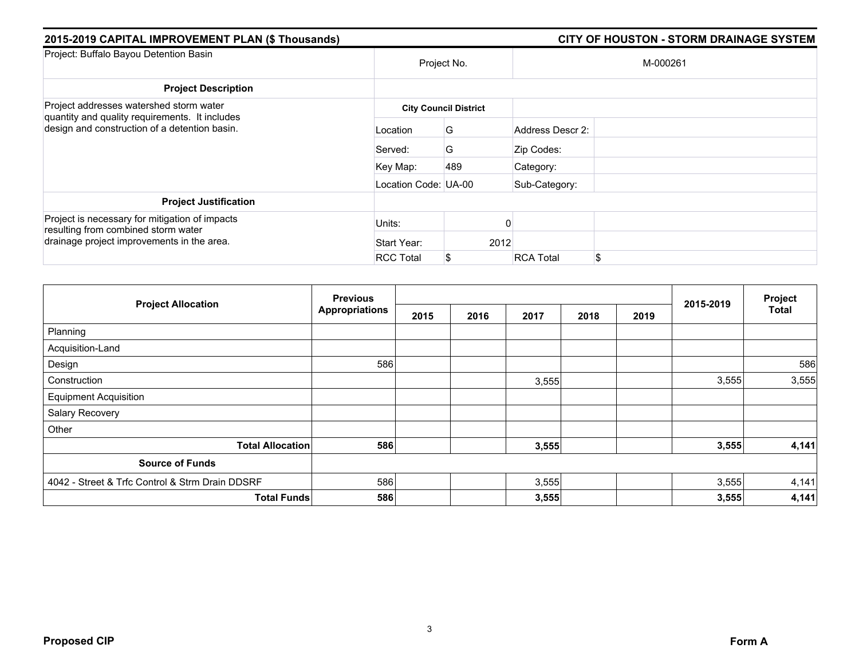| 2015-2019 CAPITAL IMPROVEMENT PLAN (\$ Thousands)                                         |                      | <b>CITY OF HOUSTON - STORM DRAINAGE SYSTEM</b> |                  |    |  |  |
|-------------------------------------------------------------------------------------------|----------------------|------------------------------------------------|------------------|----|--|--|
| Project: Buffalo Bayou Detention Basin                                                    | Project No.          |                                                | M-000261         |    |  |  |
| <b>Project Description</b>                                                                |                      |                                                |                  |    |  |  |
| Project addresses watershed storm water<br>quantity and quality requirements. It includes |                      | <b>City Council District</b>                   |                  |    |  |  |
| design and construction of a detention basin.                                             | Location             | G                                              | Address Descr 2: |    |  |  |
|                                                                                           | Served:              | G                                              | Zip Codes:       |    |  |  |
|                                                                                           | Key Map:             | 489                                            | Category:        |    |  |  |
|                                                                                           | Location Code: UA-00 |                                                | Sub-Category:    |    |  |  |
| <b>Project Justification</b>                                                              |                      |                                                |                  |    |  |  |
| Project is necessary for mitigation of impacts<br>resulting from combined storm water     | Units:               |                                                |                  |    |  |  |
| drainage project improvements in the area.                                                | Start Year:          | 2012                                           |                  |    |  |  |
|                                                                                           | <b>RCC Total</b>     | S                                              | <b>RCA Total</b> | \$ |  |  |

| <b>Project Allocation</b>                       | <b>Previous</b>       |      |      |       |      | Project |           |              |
|-------------------------------------------------|-----------------------|------|------|-------|------|---------|-----------|--------------|
|                                                 | <b>Appropriations</b> | 2015 | 2016 | 2017  | 2018 | 2019    | 2015-2019 | <b>Total</b> |
| Planning                                        |                       |      |      |       |      |         |           |              |
| Acquisition-Land                                |                       |      |      |       |      |         |           |              |
| Design                                          | 586                   |      |      |       |      |         |           | 586          |
| Construction                                    |                       |      |      | 3,555 |      |         | 3,555     | 3,555        |
| <b>Equipment Acquisition</b>                    |                       |      |      |       |      |         |           |              |
| Salary Recovery                                 |                       |      |      |       |      |         |           |              |
| Other                                           |                       |      |      |       |      |         |           |              |
| <b>Total Allocation</b>                         | 586                   |      |      | 3,555 |      |         | 3,555     | 4,141        |
| <b>Source of Funds</b>                          |                       |      |      |       |      |         |           |              |
| 4042 - Street & Trfc Control & Strm Drain DDSRF | 586                   |      |      | 3,555 |      |         | 3,555     | 4,141        |
| <b>Total Funds</b>                              | 586                   |      |      | 3,555 |      |         | 3,555     | 4,141        |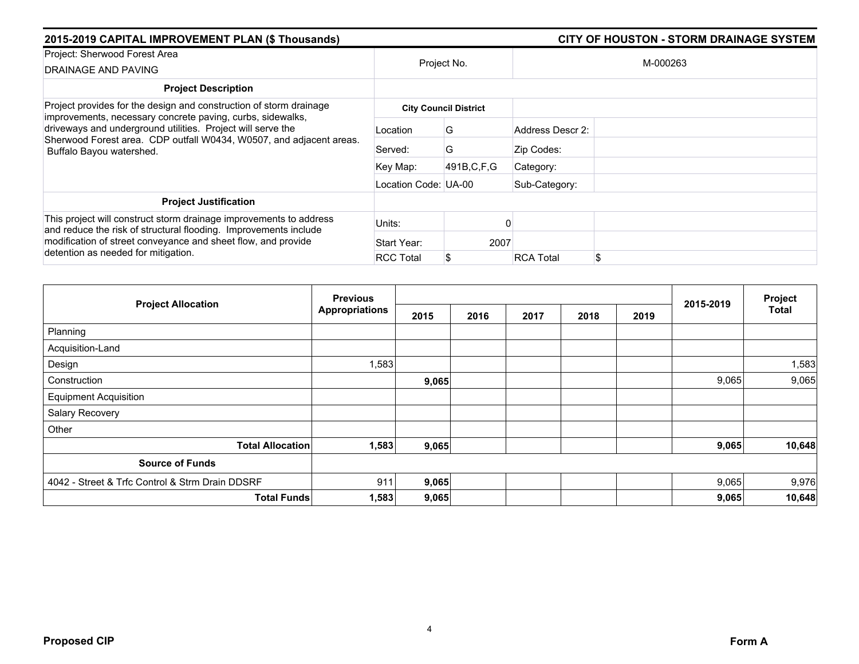| 2015-2019 CAPITAL IMPROVEMENT PLAN (\$ Thousands)                                                                                                              |                      | <b>CITY OF HOUSTON - STORM DRAINAGE SYSTEM</b> |                        |  |  |  |
|----------------------------------------------------------------------------------------------------------------------------------------------------------------|----------------------|------------------------------------------------|------------------------|--|--|--|
| Project: Sherwood Forest Area<br>DRAINAGE AND PAVING                                                                                                           |                      | Project No.                                    | M-000263               |  |  |  |
|                                                                                                                                                                |                      |                                                |                        |  |  |  |
| <b>Project Description</b>                                                                                                                                     |                      |                                                |                        |  |  |  |
| Project provides for the design and construction of storm drainage<br>improvements, necessary concrete paving, curbs, sidewalks,                               |                      | <b>City Council District</b>                   |                        |  |  |  |
| driveways and underground utilities. Project will serve the<br>Sherwood Forest area. CDP outfall W0434, W0507, and adjacent areas.<br>Buffalo Bayou watershed. | Location             | G                                              | Address Descr 2:       |  |  |  |
|                                                                                                                                                                | Served:              | G                                              | Zip Codes:             |  |  |  |
|                                                                                                                                                                | Key Map:             | 491B, C, F, G                                  | Category:              |  |  |  |
|                                                                                                                                                                | Location Code: UA-00 |                                                | Sub-Category:          |  |  |  |
| <b>Project Justification</b>                                                                                                                                   |                      |                                                |                        |  |  |  |
| This project will construct storm drainage improvements to address<br>and reduce the risk of structural flooding. Improvements include                         | Units:               |                                                |                        |  |  |  |
| modification of street conveyance and sheet flow, and provide<br>detention as needed for mitigation.                                                           | Start Year:          | 2007                                           |                        |  |  |  |
|                                                                                                                                                                | <b>RCC Total</b>     |                                                | \$<br><b>RCA Total</b> |  |  |  |

| <b>Project Allocation</b>                       | <b>Previous</b>       |       |      |      | Project |      |           |              |
|-------------------------------------------------|-----------------------|-------|------|------|---------|------|-----------|--------------|
|                                                 | <b>Appropriations</b> | 2015  | 2016 | 2017 | 2018    | 2019 | 2015-2019 | <b>Total</b> |
| Planning                                        |                       |       |      |      |         |      |           |              |
| Acquisition-Land                                |                       |       |      |      |         |      |           |              |
| Design                                          | 1,583                 |       |      |      |         |      |           | 1,583        |
| Construction                                    |                       | 9,065 |      |      |         |      | 9,065     | 9,065        |
| <b>Equipment Acquisition</b>                    |                       |       |      |      |         |      |           |              |
| Salary Recovery                                 |                       |       |      |      |         |      |           |              |
| Other                                           |                       |       |      |      |         |      |           |              |
| <b>Total Allocation</b>                         | 1,583                 | 9,065 |      |      |         |      | 9,065     | 10,648       |
| <b>Source of Funds</b>                          |                       |       |      |      |         |      |           |              |
| 4042 - Street & Trfc Control & Strm Drain DDSRF | 911                   | 9,065 |      |      |         |      | 9,065     | 9,976        |
| <b>Total Funds</b>                              | 1,583                 | 9,065 |      |      |         |      | 9,065     | 10,648       |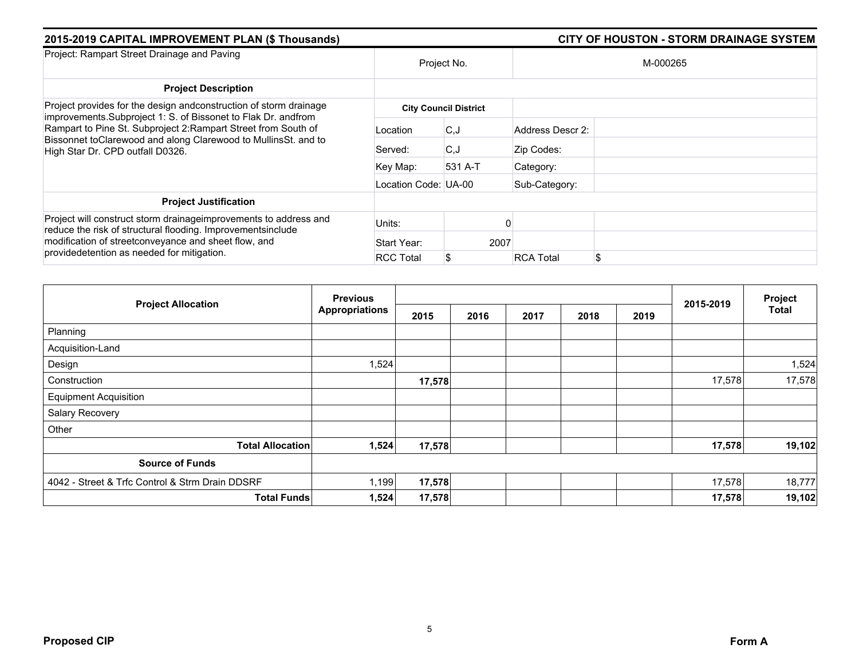| 2015-2019 CAPITAL IMPROVEMENT PLAN (\$ Thousands)                                                                                                                                                                                      |                      |                              | <b>CITY OF HOUSTON - STORM DRAINAGE SYSTEM</b> |  |  |  |  |  |
|----------------------------------------------------------------------------------------------------------------------------------------------------------------------------------------------------------------------------------------|----------------------|------------------------------|------------------------------------------------|--|--|--|--|--|
| Project: Rampart Street Drainage and Paving                                                                                                                                                                                            |                      | Project No.                  | M-000265                                       |  |  |  |  |  |
| <b>Project Description</b>                                                                                                                                                                                                             |                      |                              |                                                |  |  |  |  |  |
| Project provides for the design andconstruction of storm drainage                                                                                                                                                                      |                      | <b>City Council District</b> |                                                |  |  |  |  |  |
| improvements. Subproject 1: S. of Bissonet to Flak Dr. andfrom<br>Rampart to Pine St. Subproject 2: Rampart Street from South of<br>Bissonnet toClarewood and along Clarewood to MullinsSt. and to<br>High Star Dr. CPD outfall D0326. | Location             | C.J                          | Address Descr 2:                               |  |  |  |  |  |
|                                                                                                                                                                                                                                        | Served:              | C.J                          | Zip Codes:                                     |  |  |  |  |  |
|                                                                                                                                                                                                                                        | Key Map:             | 531 A-T                      | Category:                                      |  |  |  |  |  |
|                                                                                                                                                                                                                                        | Location Code: UA-00 |                              | Sub-Category:                                  |  |  |  |  |  |
| <b>Project Justification</b>                                                                                                                                                                                                           |                      |                              |                                                |  |  |  |  |  |
| Project will construct storm drainageimprovements to address and<br>reduce the risk of structural flooding. Improvementsinclude                                                                                                        | Units:               |                              |                                                |  |  |  |  |  |
| modification of streetconveyance and sheet flow, and<br>providedetention as needed for mitigation.                                                                                                                                     | Start Year:          | 2007                         |                                                |  |  |  |  |  |
|                                                                                                                                                                                                                                        | <b>RCC Total</b>     |                              | \$<br><b>RCA Total</b>                         |  |  |  |  |  |

| <b>Project Allocation</b>                       | <b>Previous</b>       |        |      |      | Project |      |           |              |
|-------------------------------------------------|-----------------------|--------|------|------|---------|------|-----------|--------------|
|                                                 | <b>Appropriations</b> | 2015   | 2016 | 2017 | 2018    | 2019 | 2015-2019 | <b>Total</b> |
| Planning                                        |                       |        |      |      |         |      |           |              |
| Acquisition-Land                                |                       |        |      |      |         |      |           |              |
| Design                                          | 1,524                 |        |      |      |         |      |           | 1,524        |
| Construction                                    |                       | 17,578 |      |      |         |      | 17,578    | 17,578       |
| <b>Equipment Acquisition</b>                    |                       |        |      |      |         |      |           |              |
| Salary Recovery                                 |                       |        |      |      |         |      |           |              |
| Other                                           |                       |        |      |      |         |      |           |              |
| <b>Total Allocation</b>                         | 1,524                 | 17,578 |      |      |         |      | 17,578    | 19,102       |
| <b>Source of Funds</b>                          |                       |        |      |      |         |      |           |              |
| 4042 - Street & Trfc Control & Strm Drain DDSRF | 1,199                 | 17,578 |      |      |         |      | 17,578    | 18,777       |
| <b>Total Funds</b>                              | 1,524                 | 17,578 |      |      |         |      | 17,578    | 19,102       |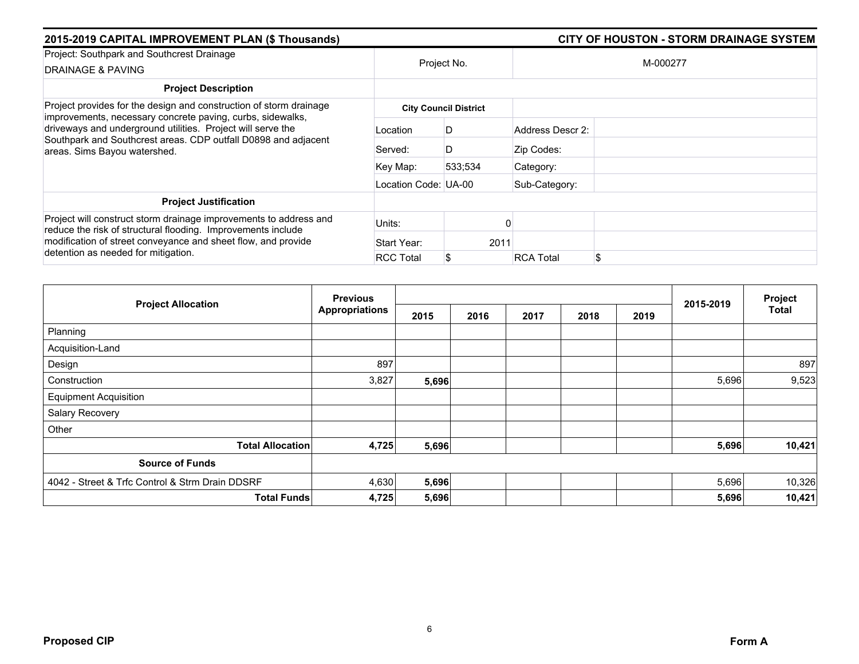| 2015-2019 CAPITAL IMPROVEMENT PLAN (\$ Thousands)                                                                                                                                                                           |                      | <b>CITY OF HOUSTON - STORM DRAINAGE SYSTEM</b> |                        |  |  |  |  |
|-----------------------------------------------------------------------------------------------------------------------------------------------------------------------------------------------------------------------------|----------------------|------------------------------------------------|------------------------|--|--|--|--|
| Project: Southpark and Southcrest Drainage                                                                                                                                                                                  |                      | Project No.                                    | M-000277               |  |  |  |  |
| DRAINAGE & PAVING                                                                                                                                                                                                           |                      |                                                |                        |  |  |  |  |
| <b>Project Description</b>                                                                                                                                                                                                  |                      |                                                |                        |  |  |  |  |
| Project provides for the design and construction of storm drainage                                                                                                                                                          |                      | <b>City Council District</b>                   |                        |  |  |  |  |
| improvements, necessary concrete paving, curbs, sidewalks,<br>driveways and underground utilities. Project will serve the<br>Southpark and Southcrest areas. CDP outfall D0898 and adjacent<br>areas. Sims Bayou watershed. | Location             | D                                              | Address Descr 2:       |  |  |  |  |
|                                                                                                                                                                                                                             | Served:              | D                                              | Zip Codes:             |  |  |  |  |
|                                                                                                                                                                                                                             | Key Map:             | 533:534                                        | Category:              |  |  |  |  |
|                                                                                                                                                                                                                             | Location Code: UA-00 |                                                | Sub-Category:          |  |  |  |  |
| <b>Project Justification</b>                                                                                                                                                                                                |                      |                                                |                        |  |  |  |  |
| Project will construct storm drainage improvements to address and<br>reduce the risk of structural flooding. Improvements include                                                                                           | Units:               |                                                |                        |  |  |  |  |
| modification of street conveyance and sheet flow, and provide<br>detention as needed for mitigation.                                                                                                                        | Start Year:          | 2011                                           |                        |  |  |  |  |
|                                                                                                                                                                                                                             | <b>RCC Total</b>     |                                                | \$<br><b>RCA Total</b> |  |  |  |  |

| <b>Project Allocation</b>                       | <b>Previous</b>       |       |      |      | Project |      |           |              |
|-------------------------------------------------|-----------------------|-------|------|------|---------|------|-----------|--------------|
|                                                 | <b>Appropriations</b> | 2015  | 2016 | 2017 | 2018    | 2019 | 2015-2019 | <b>Total</b> |
| Planning                                        |                       |       |      |      |         |      |           |              |
| Acquisition-Land                                |                       |       |      |      |         |      |           |              |
| Design                                          | 897                   |       |      |      |         |      |           | 897          |
| Construction                                    | 3,827                 | 5,696 |      |      |         |      | 5,696     | 9,523        |
| <b>Equipment Acquisition</b>                    |                       |       |      |      |         |      |           |              |
| Salary Recovery                                 |                       |       |      |      |         |      |           |              |
| Other                                           |                       |       |      |      |         |      |           |              |
| <b>Total Allocation</b>                         | 4,725                 | 5,696 |      |      |         |      | 5,696     | 10,421       |
| <b>Source of Funds</b>                          |                       |       |      |      |         |      |           |              |
| 4042 - Street & Trfc Control & Strm Drain DDSRF | 4,630                 | 5,696 |      |      |         |      | 5,696     | 10,326       |
| <b>Total Funds</b>                              | 4,725                 | 5,696 |      |      |         |      | 5,696     | 10,421       |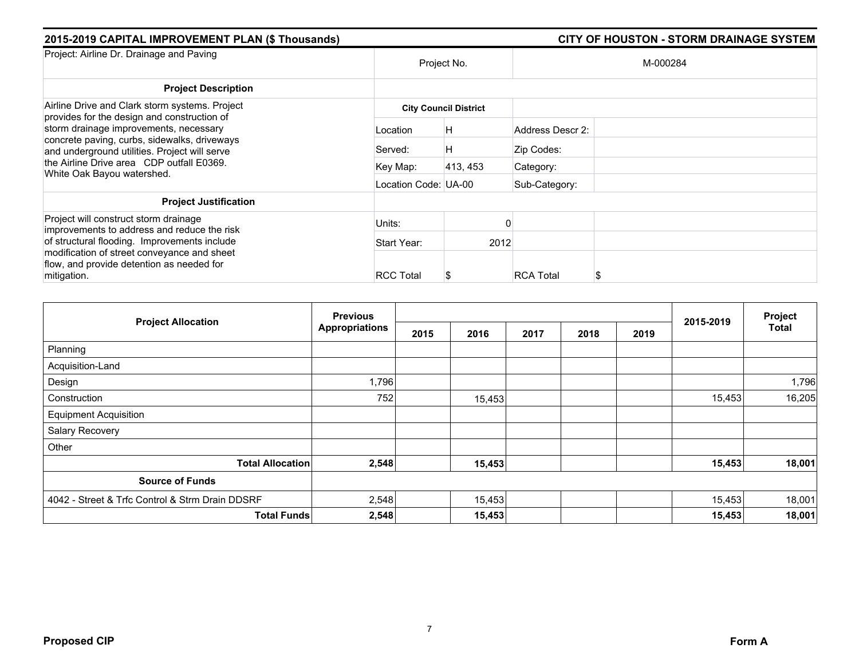|             |                  | <b>CITY OF HOUSTON - STORM DRAINAGE SYSTEM</b>            |                          |  |  |  |  |
|-------------|------------------|-----------------------------------------------------------|--------------------------|--|--|--|--|
|             | Project No.      |                                                           | M-000284                 |  |  |  |  |
|             |                  |                                                           |                          |  |  |  |  |
|             |                  |                                                           |                          |  |  |  |  |
| Location    | H                | Address Descr 2:                                          |                          |  |  |  |  |
| Served:     | H                | Zip Codes:                                                |                          |  |  |  |  |
| Key Map:    | 413, 453         | Category:                                                 |                          |  |  |  |  |
|             |                  | Sub-Category:                                             |                          |  |  |  |  |
|             |                  |                                                           |                          |  |  |  |  |
| Units:      |                  |                                                           |                          |  |  |  |  |
| Start Year: |                  |                                                           |                          |  |  |  |  |
|             |                  |                                                           |                          |  |  |  |  |
|             | <b>RCC Total</b> | <b>City Council District</b><br>Location Code: UA-00<br>S | 2012<br><b>RCA Total</b> |  |  |  |  |

|                                                 | <b>Previous</b>       |      |        |      |      |      |           | Project      |
|-------------------------------------------------|-----------------------|------|--------|------|------|------|-----------|--------------|
| <b>Project Allocation</b>                       | <b>Appropriations</b> | 2015 | 2016   | 2017 | 2018 | 2019 | 2015-2019 | <b>Total</b> |
| Planning                                        |                       |      |        |      |      |      |           |              |
| Acquisition-Land                                |                       |      |        |      |      |      |           |              |
| Design                                          | 1,796                 |      |        |      |      |      |           | 1,796        |
| Construction                                    | 752                   |      | 15,453 |      |      |      | 15,453    | 16,205       |
| <b>Equipment Acquisition</b>                    |                       |      |        |      |      |      |           |              |
| Salary Recovery                                 |                       |      |        |      |      |      |           |              |
| Other                                           |                       |      |        |      |      |      |           |              |
| <b>Total Allocation</b>                         | 2,548                 |      | 15,453 |      |      |      | 15,453    | 18,001       |
| <b>Source of Funds</b>                          |                       |      |        |      |      |      |           |              |
| 4042 - Street & Trfc Control & Strm Drain DDSRF | 2,548                 |      | 15,453 |      |      |      | 15,453    | 18,001       |
| <b>Total Funds</b>                              | 2,548                 |      | 15,453 |      |      |      | 15,453    | 18,001       |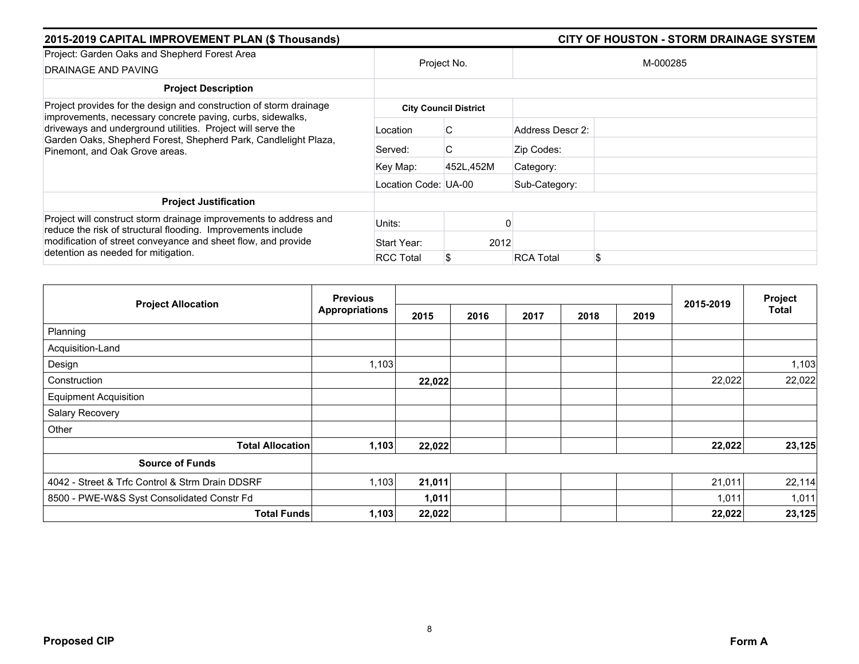| 2015-2019 CAPITAL IMPROVEMENT PLAN (\$ Thousands)                                                                                                                                                                                         |                      |                              | <b>CITY OF HOUSTON - STORM DRAINAGE SYSTEM</b> |
|-------------------------------------------------------------------------------------------------------------------------------------------------------------------------------------------------------------------------------------------|----------------------|------------------------------|------------------------------------------------|
| Project: Garden Oaks and Shepherd Forest Area                                                                                                                                                                                             |                      |                              |                                                |
| DRAINAGE AND PAVING                                                                                                                                                                                                                       |                      | Project No.                  | M-000285                                       |
| <b>Project Description</b>                                                                                                                                                                                                                |                      |                              |                                                |
| Project provides for the design and construction of storm drainage                                                                                                                                                                        |                      | <b>City Council District</b> |                                                |
| improvements, necessary concrete paving, curbs, sidewalks,<br>driveways and underground utilities. Project will serve the<br>Garden Oaks, Shepherd Forest, Shepherd Park, Candlelight Plaza,<br>Pinemont, and Oak Grove areas.            | Location             | C                            | Address Descr 2:                               |
|                                                                                                                                                                                                                                           | Served:              | C                            | Zip Codes:                                     |
|                                                                                                                                                                                                                                           | Key Map:             | 452L.452M                    | Category:                                      |
|                                                                                                                                                                                                                                           | Location Code: UA-00 |                              | Sub-Category:                                  |
| <b>Project Justification</b>                                                                                                                                                                                                              |                      |                              |                                                |
| Project will construct storm drainage improvements to address and<br>reduce the risk of structural flooding. Improvements include<br>modification of street conveyance and sheet flow, and provide<br>detention as needed for mitigation. | Units:               |                              |                                                |
|                                                                                                                                                                                                                                           | Start Year:          | 2012                         |                                                |
|                                                                                                                                                                                                                                           | <b>RCC Total</b>     |                              | \$<br><b>RCA Total</b>                         |

|                                                 | <b>Previous</b>       |        |      |      | Project |      |           |        |
|-------------------------------------------------|-----------------------|--------|------|------|---------|------|-----------|--------|
| <b>Project Allocation</b>                       | <b>Appropriations</b> | 2015   | 2016 | 2017 | 2018    | 2019 | 2015-2019 | Total  |
| Planning                                        |                       |        |      |      |         |      |           |        |
| Acquisition-Land                                |                       |        |      |      |         |      |           |        |
| Design                                          | 1,103                 |        |      |      |         |      |           | 1,103  |
| Construction                                    |                       | 22,022 |      |      |         |      | 22,022    | 22,022 |
| <b>Equipment Acquisition</b>                    |                       |        |      |      |         |      |           |        |
| Salary Recovery                                 |                       |        |      |      |         |      |           |        |
| Other                                           |                       |        |      |      |         |      |           |        |
| <b>Total Allocation</b>                         | 1,103                 | 22,022 |      |      |         |      | 22,022    | 23,125 |
| <b>Source of Funds</b>                          |                       |        |      |      |         |      |           |        |
| 4042 - Street & Trfc Control & Strm Drain DDSRF | 1,103                 | 21,011 |      |      |         |      | 21,011    | 22,114 |
| 8500 - PWE-W&S Syst Consolidated Constr Fd      |                       | 1,011  |      |      |         |      | 1,011     | 1,011  |
| <b>Total Funds</b>                              | 1,103                 | 22,022 |      |      |         |      | 22,022    | 23,125 |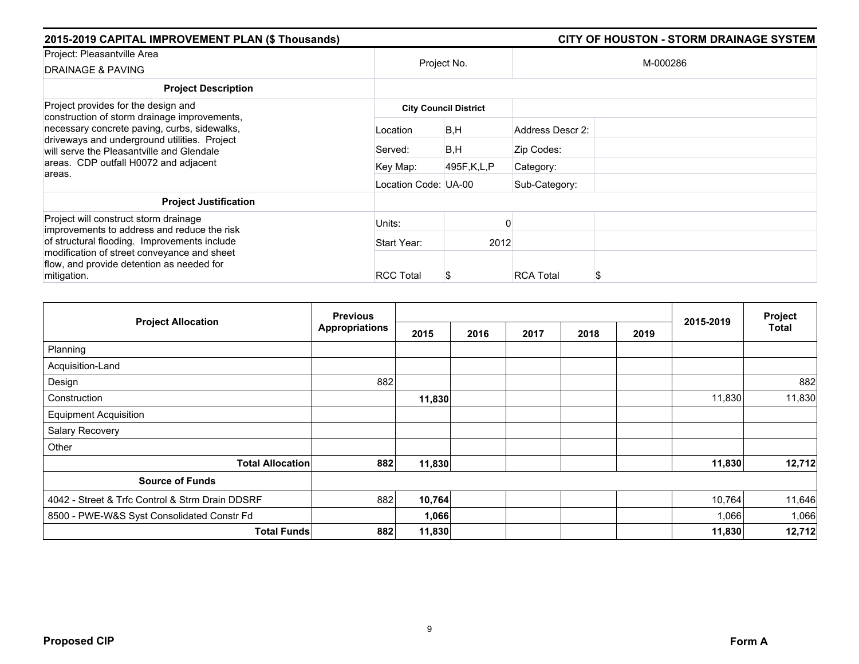| 2015-2019 CAPITAL IMPROVEMENT PLAN (\$ Thousands)                                                                                         |                      |                              |                  | <b>CITY OF HOUSTON - STORM DRAINAGE SYSTEM</b> |
|-------------------------------------------------------------------------------------------------------------------------------------------|----------------------|------------------------------|------------------|------------------------------------------------|
| Project: Pleasantville Area<br>DRAINAGE & PAVING                                                                                          |                      | Project No.                  |                  | M-000286                                       |
| <b>Project Description</b>                                                                                                                |                      |                              |                  |                                                |
| Project provides for the design and<br>construction of storm drainage improvements,                                                       |                      | <b>City Council District</b> |                  |                                                |
| necessary concrete paving, curbs, sidewalks,<br>driveways and underground utilities. Project<br>will serve the Pleasantville and Glendale | Location             | B,H                          | Address Descr 2: |                                                |
|                                                                                                                                           | Served:              | B,H                          | Zip Codes:       |                                                |
| areas. CDP outfall H0072 and adjacent<br>areas.                                                                                           | Key Map:             | 495F,K,L,P                   | Category:        |                                                |
|                                                                                                                                           | Location Code: UA-00 |                              | Sub-Category:    |                                                |
| <b>Project Justification</b>                                                                                                              |                      |                              |                  |                                                |
| Project will construct storm drainage<br>improvements to address and reduce the risk                                                      | Units:               |                              |                  |                                                |
| of structural flooding. Improvements include                                                                                              | Start Year:          | 2012                         |                  |                                                |
| modification of street conveyance and sheet<br>flow, and provide detention as needed for<br>mitigation.                                   | <b>RCC Total</b>     |                              | <b>RCA Total</b> | S                                              |

| <b>Project Allocation</b>                       | <b>Previous</b>           |        |      | 2015-2019 | Project |      |        |        |
|-------------------------------------------------|---------------------------|--------|------|-----------|---------|------|--------|--------|
|                                                 | <b>Appropriations</b>     | 2015   | 2016 | 2017      | 2018    | 2019 |        | Total  |
| Planning                                        |                           |        |      |           |         |      |        |        |
| Acquisition-Land                                |                           |        |      |           |         |      |        |        |
| Design                                          | 882                       |        |      |           |         |      |        | 882    |
| Construction                                    |                           | 11,830 |      |           |         |      | 11,830 | 11,830 |
| <b>Equipment Acquisition</b>                    |                           |        |      |           |         |      |        |        |
| Salary Recovery                                 |                           |        |      |           |         |      |        |        |
| Other                                           |                           |        |      |           |         |      |        |        |
| <b>Total Allocation</b>                         | 882                       | 11,830 |      |           |         |      | 11,830 | 12,712 |
| <b>Source of Funds</b>                          |                           |        |      |           |         |      |        |        |
| 4042 - Street & Trfc Control & Strm Drain DDSRF | 882                       | 10,764 |      |           |         |      | 10,764 | 11,646 |
| 8500 - PWE-W&S Syst Consolidated Constr Fd      |                           | 1,066  |      |           |         |      | 1,066  | 1,066  |
|                                                 | 882<br><b>Total Funds</b> | 11,830 |      |           |         |      | 11,830 | 12,712 |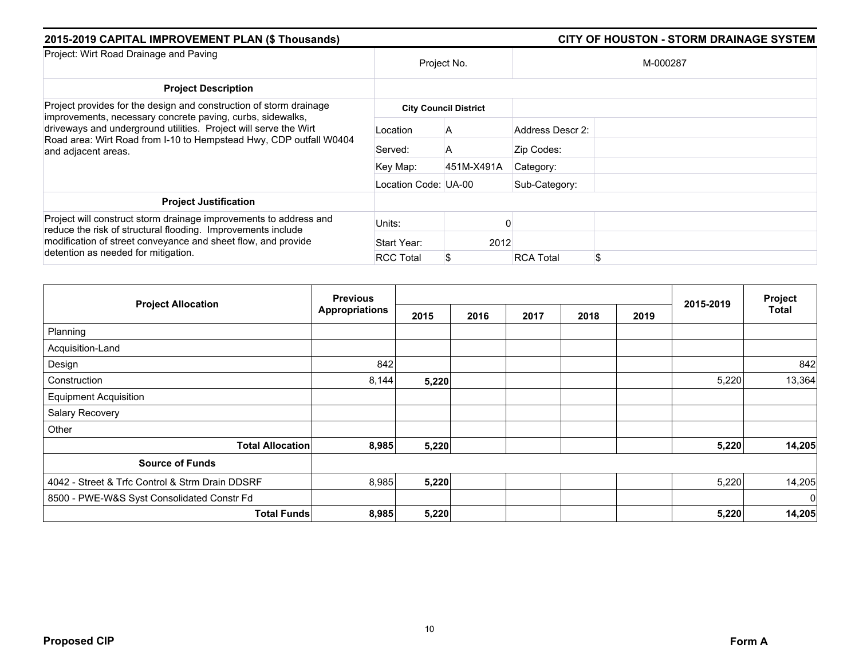| 2015-2019 CAPITAL IMPROVEMENT PLAN (\$ Thousands)                                                                                                                                                                                                                                                 |                      |                              |                        |  |  |
|---------------------------------------------------------------------------------------------------------------------------------------------------------------------------------------------------------------------------------------------------------------------------------------------------|----------------------|------------------------------|------------------------|--|--|
| Project: Wirt Road Drainage and Paving                                                                                                                                                                                                                                                            | Project No.          |                              | M-000287               |  |  |
| <b>Project Description</b>                                                                                                                                                                                                                                                                        |                      |                              |                        |  |  |
| Project provides for the design and construction of storm drainage<br>improvements, necessary concrete paving, curbs, sidewalks,<br>driveways and underground utilities. Project will serve the Wirt<br>Road area: Wirt Road from I-10 to Hempstead Hwy, CDP outfall W0404<br>and adjacent areas. |                      | <b>City Council District</b> |                        |  |  |
|                                                                                                                                                                                                                                                                                                   | Location             | A                            | Address Descr 2:       |  |  |
|                                                                                                                                                                                                                                                                                                   | Served:              | A                            | Zip Codes:             |  |  |
|                                                                                                                                                                                                                                                                                                   | Key Map:             | 451M-X491A                   | Category:              |  |  |
|                                                                                                                                                                                                                                                                                                   | Location Code: UA-00 |                              | Sub-Category:          |  |  |
| <b>Project Justification</b>                                                                                                                                                                                                                                                                      |                      |                              |                        |  |  |
| Project will construct storm drainage improvements to address and<br>reduce the risk of structural flooding. Improvements include<br>modification of street conveyance and sheet flow, and provide<br>detention as needed for mitigation.                                                         | Units:               |                              |                        |  |  |
|                                                                                                                                                                                                                                                                                                   | Start Year:          | 2012                         |                        |  |  |
|                                                                                                                                                                                                                                                                                                   | <b>RCC Total</b>     |                              | \$<br><b>RCA Total</b> |  |  |

| <b>Project Allocation</b>                       | <b>Previous</b>       |       |      |      | Project |      |           |                |
|-------------------------------------------------|-----------------------|-------|------|------|---------|------|-----------|----------------|
|                                                 | <b>Appropriations</b> | 2015  | 2016 | 2017 | 2018    | 2019 | 2015-2019 | Total          |
| Planning                                        |                       |       |      |      |         |      |           |                |
| Acquisition-Land                                |                       |       |      |      |         |      |           |                |
| Design                                          | 842                   |       |      |      |         |      |           | 842            |
| Construction                                    | 8,144                 | 5,220 |      |      |         |      | 5,220     | 13,364         |
| <b>Equipment Acquisition</b>                    |                       |       |      |      |         |      |           |                |
| Salary Recovery                                 |                       |       |      |      |         |      |           |                |
| Other                                           |                       |       |      |      |         |      |           |                |
| <b>Total Allocation</b>                         | 8,985                 | 5,220 |      |      |         |      | 5,220     | 14,205         |
| <b>Source of Funds</b>                          |                       |       |      |      |         |      |           |                |
| 4042 - Street & Trfc Control & Strm Drain DDSRF | 8,985                 | 5,220 |      |      |         |      | 5,220     | 14,205         |
| 8500 - PWE-W&S Syst Consolidated Constr Fd      |                       |       |      |      |         |      |           | $\overline{0}$ |
| <b>Total Funds</b>                              | 8,985                 | 5,220 |      |      |         |      | 5,220     | 14,205         |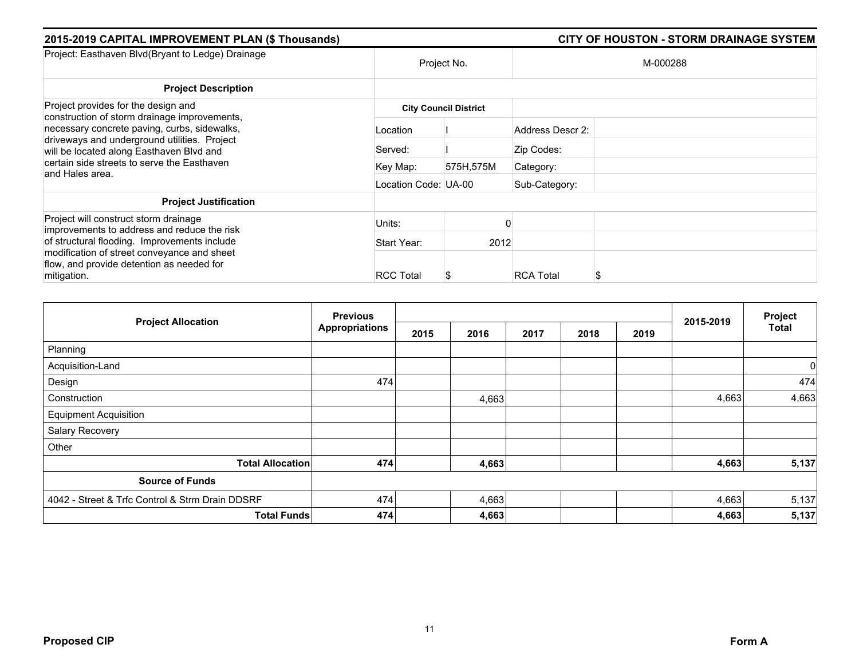| 2015-2019 CAPITAL IMPROVEMENT PLAN (\$ Thousands)                                            |                      |                              |                  | <b>CITY OF HOUSTON - STORM DRAINAGE SYSTEM</b> |
|----------------------------------------------------------------------------------------------|----------------------|------------------------------|------------------|------------------------------------------------|
| Project: Easthaven Blvd(Bryant to Ledge) Drainage                                            | Project No.          |                              |                  | M-000288                                       |
| <b>Project Description</b>                                                                   |                      |                              |                  |                                                |
| Project provides for the design and                                                          |                      | <b>City Council District</b> |                  |                                                |
| construction of storm drainage improvements,<br>necessary concrete paving, curbs, sidewalks, | Location             |                              | Address Descr 2: |                                                |
| driveways and underground utilities. Project<br>will be located along Easthaven Blvd and     | Served:              |                              | Zip Codes:       |                                                |
| certain side streets to serve the Easthaven<br>and Hales area.                               | Key Map:             | 575H,575M                    | Category:        |                                                |
|                                                                                              | Location Code: UA-00 |                              | Sub-Category:    |                                                |
| <b>Project Justification</b>                                                                 |                      |                              |                  |                                                |
| Project will construct storm drainage<br>improvements to address and reduce the risk         | Units:               |                              |                  |                                                |
| of structural flooding. Improvements include                                                 | Start Year:          | 2012                         |                  |                                                |
| modification of street conveyance and sheet<br>flow, and provide detention as needed for     |                      |                              |                  |                                                |
| mitigation.                                                                                  | <b>RCC Total</b>     | S                            | <b>RCA Total</b> |                                                |

|                                                 | <b>Previous</b>       |      |       |      | Project |      |           |                |
|-------------------------------------------------|-----------------------|------|-------|------|---------|------|-----------|----------------|
| <b>Project Allocation</b>                       | <b>Appropriations</b> | 2015 | 2016  | 2017 | 2018    | 2019 | 2015-2019 | <b>Total</b>   |
| Planning                                        |                       |      |       |      |         |      |           |                |
| Acquisition-Land                                |                       |      |       |      |         |      |           | $\overline{0}$ |
| Design                                          | 474                   |      |       |      |         |      |           | 474            |
| Construction                                    |                       |      | 4,663 |      |         |      | 4,663     | 4,663          |
| <b>Equipment Acquisition</b>                    |                       |      |       |      |         |      |           |                |
| Salary Recovery                                 |                       |      |       |      |         |      |           |                |
| Other                                           |                       |      |       |      |         |      |           |                |
| <b>Total Allocation</b>                         | 474                   |      | 4,663 |      |         |      | 4,663     | 5,137          |
| <b>Source of Funds</b>                          |                       |      |       |      |         |      |           |                |
| 4042 - Street & Trfc Control & Strm Drain DDSRF | 474                   |      | 4,663 |      |         |      | 4,663     | 5,137          |
| <b>Total Funds</b>                              | 474                   |      | 4,663 |      |         |      | 4,663     | 5,137          |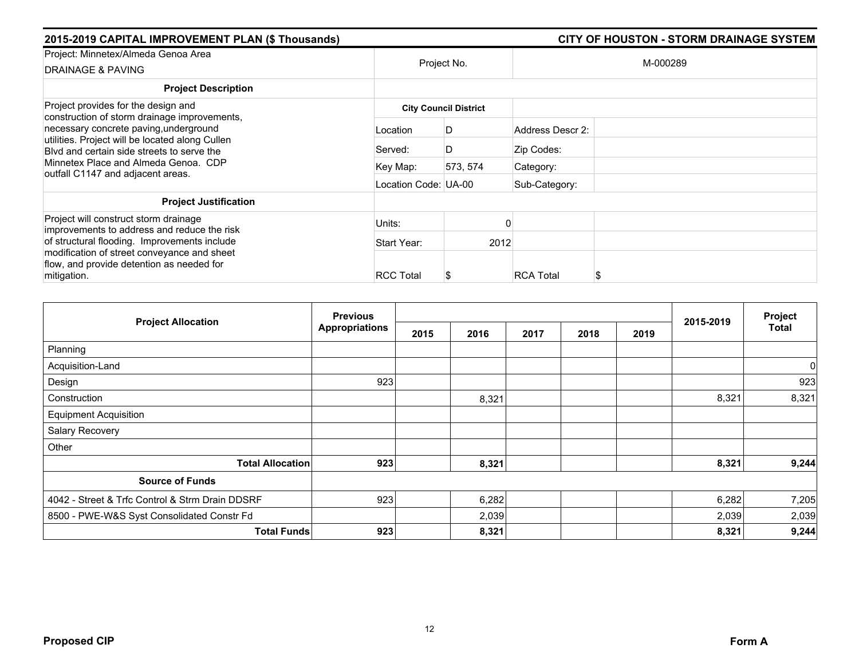| 2015-2019 CAPITAL IMPROVEMENT PLAN (\$ Thousands)                                                                                       |                      |                              |                  | <b>CITY OF HOUSTON - STORM DRAINAGE SYSTEM</b> |
|-----------------------------------------------------------------------------------------------------------------------------------------|----------------------|------------------------------|------------------|------------------------------------------------|
| Project: Minnetex/Almeda Genoa Area<br><b>DRAINAGE &amp; PAVING</b>                                                                     |                      | Project No.                  |                  | M-000289                                       |
| <b>Project Description</b>                                                                                                              |                      |                              |                  |                                                |
| Project provides for the design and<br>construction of storm drainage improvements,                                                     |                      | <b>City Council District</b> |                  |                                                |
| necessary concrete paving, underground<br>utilities. Project will be located along Cullen<br>Blyd and certain side streets to serve the | Location             | D                            | Address Descr 2: |                                                |
|                                                                                                                                         | Served:              | D                            | Zip Codes:       |                                                |
| Minnetex Place and Almeda Genoa. CDP<br>outfall C1147 and adjacent areas.                                                               | Key Map:             | 573, 574                     | Category:        |                                                |
|                                                                                                                                         | Location Code: UA-00 |                              | Sub-Category:    |                                                |
| <b>Project Justification</b>                                                                                                            |                      |                              |                  |                                                |
| Project will construct storm drainage<br>improvements to address and reduce the risk                                                    | Units:               |                              |                  |                                                |
| of structural flooding. Improvements include                                                                                            | Start Year:          | 2012                         |                  |                                                |
| modification of street conveyance and sheet<br>flow, and provide detention as needed for                                                |                      |                              |                  |                                                |
| mitigation.                                                                                                                             | <b>RCC Total</b>     |                              | <b>RCA Total</b> | S                                              |

|                                                 | <b>Previous</b>       |      |       | 2015-2019 | Project |      |       |                |
|-------------------------------------------------|-----------------------|------|-------|-----------|---------|------|-------|----------------|
| <b>Project Allocation</b>                       | <b>Appropriations</b> | 2015 | 2016  | 2017      | 2018    | 2019 |       | Total          |
| Planning                                        |                       |      |       |           |         |      |       |                |
| Acquisition-Land                                |                       |      |       |           |         |      |       | $\overline{0}$ |
| Design                                          | 923                   |      |       |           |         |      |       | 923            |
| Construction                                    |                       |      | 8,321 |           |         |      | 8,321 | 8,321          |
| <b>Equipment Acquisition</b>                    |                       |      |       |           |         |      |       |                |
| Salary Recovery                                 |                       |      |       |           |         |      |       |                |
| Other                                           |                       |      |       |           |         |      |       |                |
| <b>Total Allocation</b>                         | 923                   |      | 8,321 |           |         |      | 8,321 | 9,244          |
| <b>Source of Funds</b>                          |                       |      |       |           |         |      |       |                |
| 4042 - Street & Trfc Control & Strm Drain DDSRF | 923                   |      | 6,282 |           |         |      | 6,282 | 7,205          |
| 8500 - PWE-W&S Syst Consolidated Constr Fd      |                       |      | 2,039 |           |         |      | 2,039 | 2,039          |
| <b>Total Funds</b>                              | 923                   |      | 8,321 |           |         |      | 8,321 | 9,244          |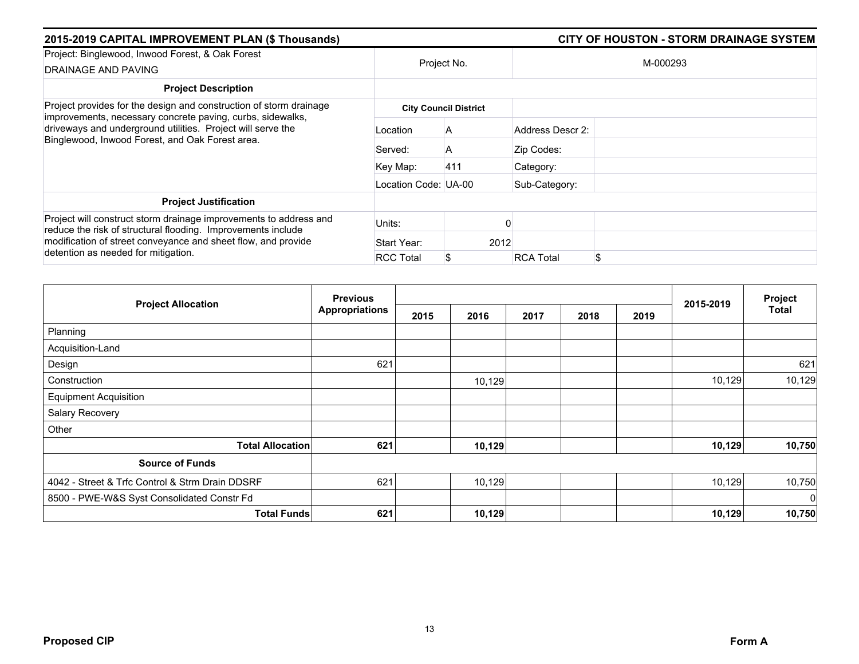| 2015-2019 CAPITAL IMPROVEMENT PLAN (\$ Thousands)                                                                                                                                                                                         |                      | <b>CITY OF HOUSTON - STORM DRAINAGE SYSTEM</b> |                        |
|-------------------------------------------------------------------------------------------------------------------------------------------------------------------------------------------------------------------------------------------|----------------------|------------------------------------------------|------------------------|
| Project: Binglewood, Inwood Forest, & Oak Forest<br>DRAINAGE AND PAVING                                                                                                                                                                   |                      | Project No.                                    | M-000293               |
| <b>Project Description</b>                                                                                                                                                                                                                |                      |                                                |                        |
| Project provides for the design and construction of storm drainage                                                                                                                                                                        |                      | <b>City Council District</b>                   |                        |
| improvements, necessary concrete paving, curbs, sidewalks,<br>driveways and underground utilities. Project will serve the<br>Binglewood, Inwood Forest, and Oak Forest area.                                                              | Location             | A                                              | Address Descr 2:       |
|                                                                                                                                                                                                                                           | Served:              | A                                              | Zip Codes:             |
|                                                                                                                                                                                                                                           | Key Map:             | 411                                            | Category:              |
|                                                                                                                                                                                                                                           | Location Code: UA-00 |                                                | Sub-Category:          |
| <b>Project Justification</b>                                                                                                                                                                                                              |                      |                                                |                        |
| Project will construct storm drainage improvements to address and<br>reduce the risk of structural flooding. Improvements include<br>modification of street conveyance and sheet flow, and provide<br>detention as needed for mitigation. | Units:               |                                                |                        |
|                                                                                                                                                                                                                                           | Start Year:          |                                                | 2012                   |
|                                                                                                                                                                                                                                           | <b>RCC Total</b>     |                                                | \$<br><b>RCA Total</b> |

|                                                 | <b>Previous</b>       |      |        |      | Project |      |           |                |
|-------------------------------------------------|-----------------------|------|--------|------|---------|------|-----------|----------------|
| <b>Project Allocation</b>                       | <b>Appropriations</b> | 2015 | 2016   | 2017 | 2018    | 2019 | 2015-2019 | Total          |
| Planning                                        |                       |      |        |      |         |      |           |                |
| Acquisition-Land                                |                       |      |        |      |         |      |           |                |
| Design                                          | 621                   |      |        |      |         |      |           | 621            |
| Construction                                    |                       |      | 10,129 |      |         |      | 10,129    | 10,129         |
| <b>Equipment Acquisition</b>                    |                       |      |        |      |         |      |           |                |
| Salary Recovery                                 |                       |      |        |      |         |      |           |                |
| Other                                           |                       |      |        |      |         |      |           |                |
| <b>Total Allocation</b>                         | 621                   |      | 10,129 |      |         |      | 10,129    | 10,750         |
| <b>Source of Funds</b>                          |                       |      |        |      |         |      |           |                |
| 4042 - Street & Trfc Control & Strm Drain DDSRF | 621                   |      | 10,129 |      |         |      | 10,129    | 10,750         |
| 8500 - PWE-W&S Syst Consolidated Constr Fd      |                       |      |        |      |         |      |           | $\overline{0}$ |
| <b>Total Funds</b>                              | 621                   |      | 10,129 |      |         |      | 10,129    | 10,750         |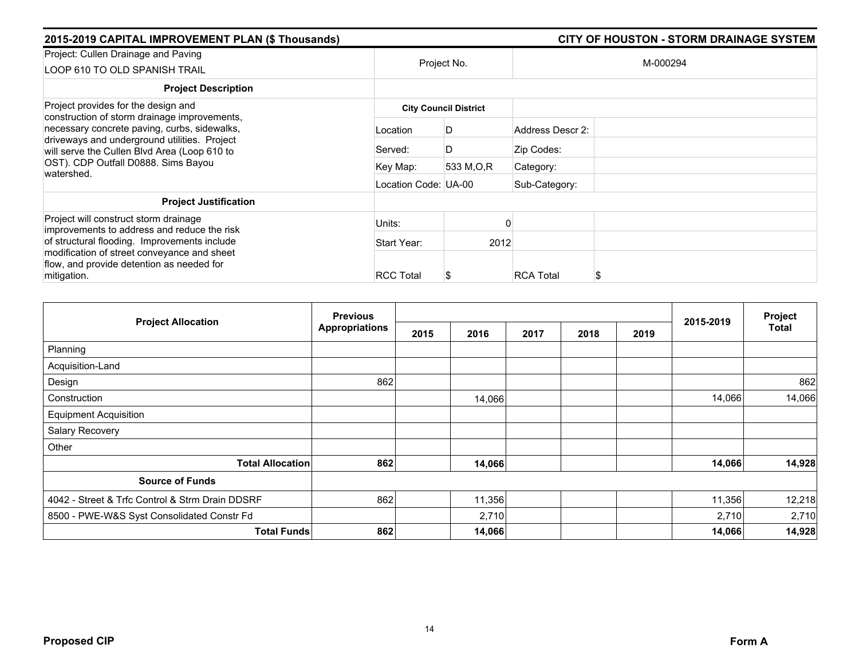| 2015-2019 CAPITAL IMPROVEMENT PLAN (\$ Thousands)                                                                                                                                            |                      |                              |                  | <b>CITY OF HOUSTON - STORM DRAINAGE SYSTEM</b> |
|----------------------------------------------------------------------------------------------------------------------------------------------------------------------------------------------|----------------------|------------------------------|------------------|------------------------------------------------|
| Project: Cullen Drainage and Paving<br>LOOP 610 TO OLD SPANISH TRAIL                                                                                                                         |                      | Project No.                  |                  | M-000294                                       |
| <b>Project Description</b>                                                                                                                                                                   |                      |                              |                  |                                                |
| Project provides for the design and                                                                                                                                                          |                      | <b>City Council District</b> |                  |                                                |
| construction of storm drainage improvements,<br>necessary concrete paving, curbs, sidewalks,<br>driveways and underground utilities. Project<br>will serve the Cullen Blvd Area (Loop 610 to | Location             | D                            | Address Descr 2: |                                                |
|                                                                                                                                                                                              | Served:              | D                            | Zip Codes:       |                                                |
| OST). CDP Outfall D0888. Sims Bayou<br>watershed.                                                                                                                                            | Key Map:             | 533 M.O.R                    | Category:        |                                                |
|                                                                                                                                                                                              | Location Code: UA-00 |                              | Sub-Category:    |                                                |
| <b>Project Justification</b>                                                                                                                                                                 |                      |                              |                  |                                                |
| Project will construct storm drainage<br>improvements to address and reduce the risk                                                                                                         | Units:               |                              |                  |                                                |
| of structural flooding. Improvements include                                                                                                                                                 | Start Year:          | 2012                         |                  |                                                |
| modification of street conveyance and sheet<br>flow, and provide detention as needed for                                                                                                     |                      |                              |                  |                                                |
| mitigation.                                                                                                                                                                                  | <b>RCC Total</b>     |                              | <b>RCA Total</b> | S                                              |

| <b>Project Allocation</b>                       | <b>Previous</b>       |      | 2015-2019 | Project |      |      |        |              |
|-------------------------------------------------|-----------------------|------|-----------|---------|------|------|--------|--------------|
|                                                 | <b>Appropriations</b> | 2015 | 2016      | 2017    | 2018 | 2019 |        | <b>Total</b> |
| Planning                                        |                       |      |           |         |      |      |        |              |
| Acquisition-Land                                |                       |      |           |         |      |      |        |              |
| Design                                          | 862                   |      |           |         |      |      |        | 862          |
| Construction                                    |                       |      | 14,066    |         |      |      | 14,066 | 14,066       |
| <b>Equipment Acquisition</b>                    |                       |      |           |         |      |      |        |              |
| Salary Recovery                                 |                       |      |           |         |      |      |        |              |
| Other                                           |                       |      |           |         |      |      |        |              |
| <b>Total Allocation</b>                         | 862                   |      | 14,066    |         |      |      | 14,066 | 14,928       |
| <b>Source of Funds</b>                          |                       |      |           |         |      |      |        |              |
| 4042 - Street & Trfc Control & Strm Drain DDSRF | 862                   |      | 11,356    |         |      |      | 11,356 | 12,218       |
| 8500 - PWE-W&S Syst Consolidated Constr Fd      |                       |      | 2,710     |         |      |      | 2,710  | 2,710        |
| <b>Total Funds</b>                              | 862                   |      | 14,066    |         |      |      | 14,066 | 14,928       |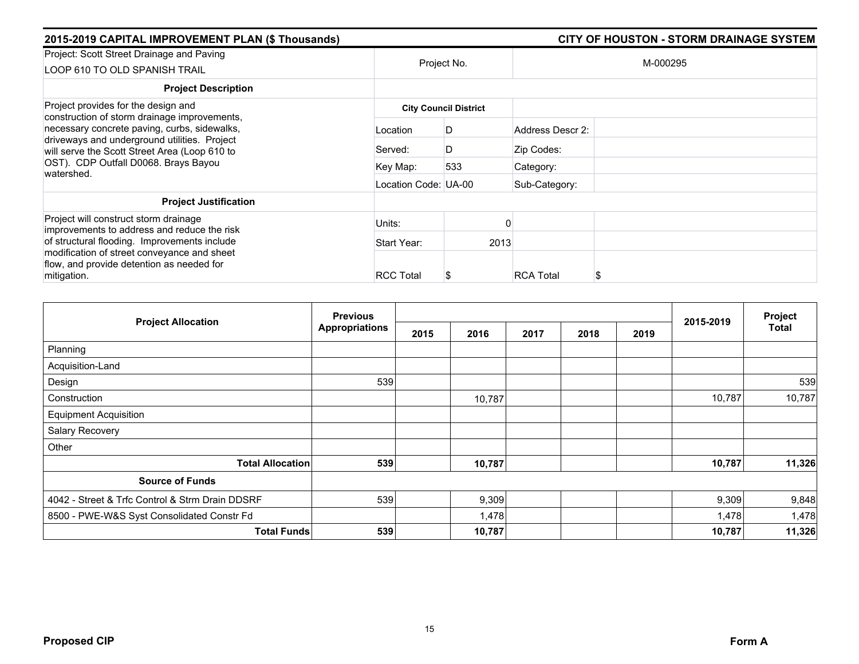| 2015-2019 CAPITAL IMPROVEMENT PLAN (\$ Thousands)                                                                                             |                      |                              |                  | <b>CITY OF HOUSTON - STORM DRAINAGE SYSTEM</b> |
|-----------------------------------------------------------------------------------------------------------------------------------------------|----------------------|------------------------------|------------------|------------------------------------------------|
| Project: Scott Street Drainage and Paving<br>LOOP 610 TO OLD SPANISH TRAIL                                                                    |                      | Project No.                  |                  | M-000295                                       |
| <b>Project Description</b>                                                                                                                    |                      |                              |                  |                                                |
| Project provides for the design and<br>construction of storm drainage improvements,                                                           |                      | <b>City Council District</b> |                  |                                                |
| necessary concrete paving, curbs, sidewalks,<br>driveways and underground utilities. Project<br>will serve the Scott Street Area (Loop 610 to | Location             | D                            | Address Descr 2: |                                                |
|                                                                                                                                               | Served:              | D                            | Zip Codes:       |                                                |
| OST). CDP Outfall D0068. Brays Bayou<br>watershed.                                                                                            | Key Map:             | 533                          | Category:        |                                                |
|                                                                                                                                               | Location Code: UA-00 |                              | Sub-Category:    |                                                |
| <b>Project Justification</b>                                                                                                                  |                      |                              |                  |                                                |
| Project will construct storm drainage<br>improvements to address and reduce the risk                                                          | Units:               |                              |                  |                                                |
| of structural flooding. Improvements include                                                                                                  | Start Year:          | 2013                         |                  |                                                |
| modification of street conveyance and sheet<br>flow, and provide detention as needed for<br>mitigation.                                       | <b>RCC Total</b>     |                              | <b>RCA Total</b> | S                                              |

| <b>Project Allocation</b>                       | <b>Previous</b>       |      |        |      |      |      | 2015-2019 | Project |
|-------------------------------------------------|-----------------------|------|--------|------|------|------|-----------|---------|
|                                                 | <b>Appropriations</b> | 2015 | 2016   | 2017 | 2018 | 2019 |           | Total   |
| Planning                                        |                       |      |        |      |      |      |           |         |
| Acquisition-Land                                |                       |      |        |      |      |      |           |         |
| Design                                          | 539                   |      |        |      |      |      |           | 539     |
| Construction                                    |                       |      | 10,787 |      |      |      | 10,787    | 10,787  |
| <b>Equipment Acquisition</b>                    |                       |      |        |      |      |      |           |         |
| Salary Recovery                                 |                       |      |        |      |      |      |           |         |
| Other                                           |                       |      |        |      |      |      |           |         |
| <b>Total Allocation</b>                         | 539                   |      | 10,787 |      |      |      | 10,787    | 11,326  |
| <b>Source of Funds</b>                          |                       |      |        |      |      |      |           |         |
| 4042 - Street & Trfc Control & Strm Drain DDSRF | 539                   |      | 9,309  |      |      |      | 9,309     | 9,848   |
| 8500 - PWE-W&S Syst Consolidated Constr Fd      |                       |      | 1,478  |      |      |      | 1,478     | 1,478   |
| <b>Total Funds</b>                              | 539                   |      | 10,787 |      |      |      | 10,787    | 11,326  |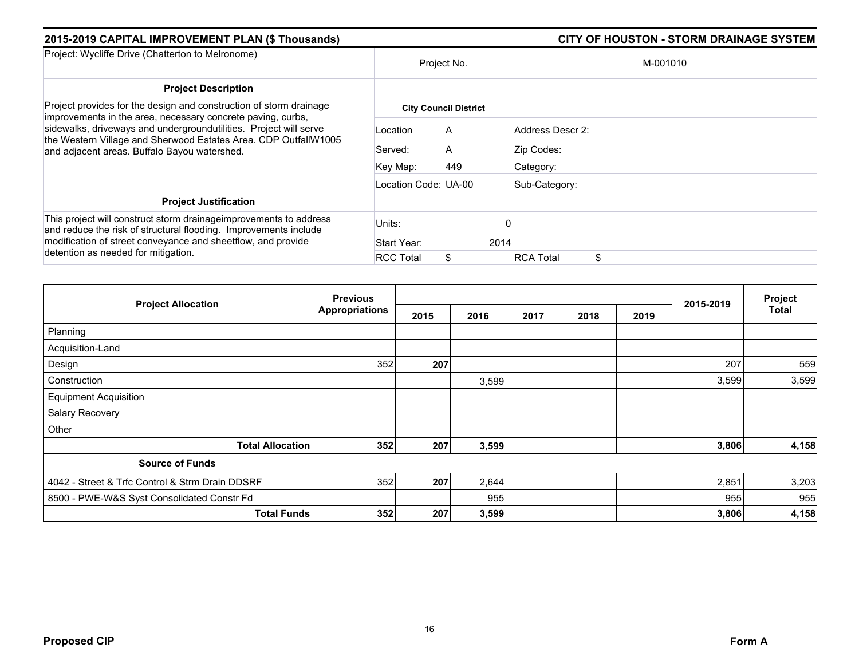| 2015-2019 CAPITAL IMPROVEMENT PLAN (\$ Thousands)                                                                                                                                                                                                   |                      |                              | <b>CITY OF HOUSTON - STORM DRAINAGE SYSTEM</b> |          |  |  |  |  |
|-----------------------------------------------------------------------------------------------------------------------------------------------------------------------------------------------------------------------------------------------------|----------------------|------------------------------|------------------------------------------------|----------|--|--|--|--|
| Project: Wycliffe Drive (Chatterton to Melronome)                                                                                                                                                                                                   |                      | Project No.                  |                                                | M-001010 |  |  |  |  |
| <b>Project Description</b>                                                                                                                                                                                                                          |                      |                              |                                                |          |  |  |  |  |
| Project provides for the design and construction of storm drainage                                                                                                                                                                                  |                      | <b>City Council District</b> |                                                |          |  |  |  |  |
| improvements in the area, necessary concrete paving, curbs,<br>sidewalks, driveways and undergroundutilities. Project will serve<br>the Western Village and Sherwood Estates Area. CDP OutfallW1005<br>and adjacent areas. Buffalo Bayou watershed. | Location             | A                            | Address Descr 2:                               |          |  |  |  |  |
|                                                                                                                                                                                                                                                     | Served:              | A                            | Zip Codes:                                     |          |  |  |  |  |
|                                                                                                                                                                                                                                                     | Key Map:             | 449                          | Category:                                      |          |  |  |  |  |
|                                                                                                                                                                                                                                                     | Location Code: UA-00 |                              | Sub-Category:                                  |          |  |  |  |  |
| <b>Project Justification</b>                                                                                                                                                                                                                        |                      |                              |                                                |          |  |  |  |  |
| This project will construct storm drainageimprovements to address<br>and reduce the risk of structural flooding. Improvements include<br>modification of street conveyance and sheetflow, and provide<br>detention as needed for mitigation.        | Units:               |                              |                                                |          |  |  |  |  |
|                                                                                                                                                                                                                                                     | Start Year:          | 2014                         |                                                |          |  |  |  |  |
|                                                                                                                                                                                                                                                     | <b>RCC Total</b>     |                              | \$<br><b>RCA Total</b>                         |          |  |  |  |  |

|                                                 | <b>Previous</b>       |      |       |      |      | Project |           |       |
|-------------------------------------------------|-----------------------|------|-------|------|------|---------|-----------|-------|
| <b>Project Allocation</b>                       | <b>Appropriations</b> | 2015 | 2016  | 2017 | 2018 | 2019    | 2015-2019 | Total |
| Planning                                        |                       |      |       |      |      |         |           |       |
| Acquisition-Land                                |                       |      |       |      |      |         |           |       |
| Design                                          | 352                   | 207  |       |      |      |         | 207       | 559   |
| Construction                                    |                       |      | 3,599 |      |      |         | 3,599     | 3,599 |
| <b>Equipment Acquisition</b>                    |                       |      |       |      |      |         |           |       |
| Salary Recovery                                 |                       |      |       |      |      |         |           |       |
| Other                                           |                       |      |       |      |      |         |           |       |
| <b>Total Allocation</b>                         | 352                   | 207  | 3,599 |      |      |         | 3,806     | 4,158 |
| <b>Source of Funds</b>                          |                       |      |       |      |      |         |           |       |
| 4042 - Street & Trfc Control & Strm Drain DDSRF | 352                   | 207  | 2,644 |      |      |         | 2,851     | 3,203 |
| 8500 - PWE-W&S Syst Consolidated Constr Fd      |                       |      | 955   |      |      |         | 955       | 955   |
| <b>Total Funds</b>                              | 352                   | 207  | 3,599 |      |      |         | 3,806     | 4,158 |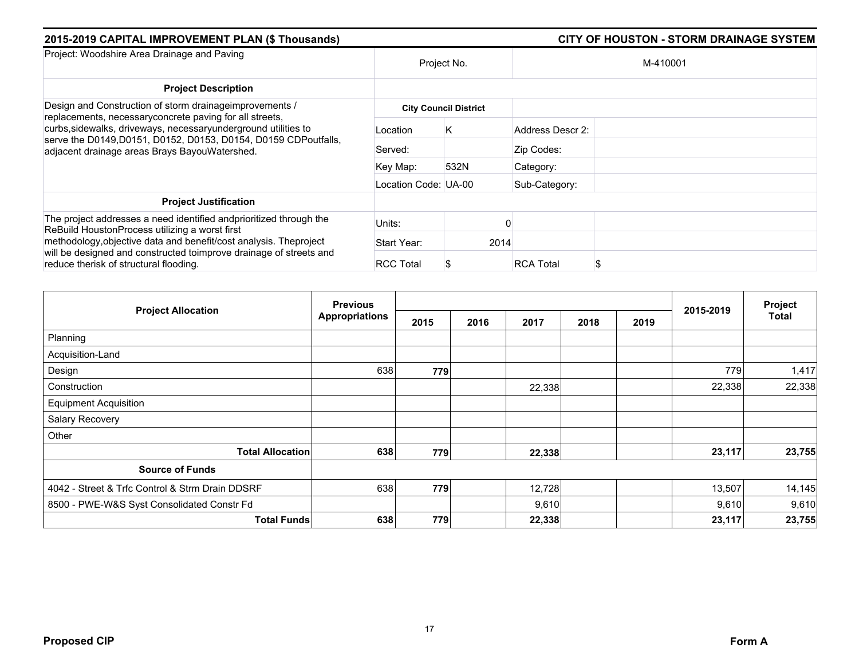| 2015-2019 CAPITAL IMPROVEMENT PLAN (\$ Thousands)                                                                                                                                  | <b>CITY OF HOUSTON - STORM DRAINAGE SYSTEM</b> |                              |                        |  |  |
|------------------------------------------------------------------------------------------------------------------------------------------------------------------------------------|------------------------------------------------|------------------------------|------------------------|--|--|
| Project: Woodshire Area Drainage and Paving                                                                                                                                        | Project No.                                    |                              | M-410001               |  |  |
| <b>Project Description</b>                                                                                                                                                         |                                                |                              |                        |  |  |
| Design and Construction of storm drainage improvements /<br>replacements, necessary concrete paving for all streets,                                                               |                                                | <b>City Council District</b> |                        |  |  |
| curbs, sidewalks, driveways, necessaryunderground utilities to<br>serve the D0149, D0151, D0152, D0153, D0154, D0159 CDPoutfalls,<br>adjacent drainage areas Brays BayouWatershed. | Location                                       | K.                           | Address Descr 2:       |  |  |
|                                                                                                                                                                                    | Served:                                        |                              | Zip Codes:             |  |  |
|                                                                                                                                                                                    | Key Map:                                       | 532N                         | Category:              |  |  |
|                                                                                                                                                                                    | Location Code: UA-00                           |                              | Sub-Category:          |  |  |
| <b>Project Justification</b>                                                                                                                                                       |                                                |                              |                        |  |  |
| The project addresses a need identified andprioritized through the<br>ReBuild HoustonProcess utilizing a worst first                                                               | Units:                                         |                              |                        |  |  |
| methodology, objective data and benefit/cost analysis. The project<br>will be designed and constructed toimprove drainage of streets and<br>reduce therisk of structural flooding. | Start Year:                                    | 2014                         |                        |  |  |
|                                                                                                                                                                                    | <b>RCC Total</b>                               |                              | <b>RCA Total</b><br>\$ |  |  |

|                                                 | <b>Previous</b>       |      |      |        | Project |      |           |        |
|-------------------------------------------------|-----------------------|------|------|--------|---------|------|-----------|--------|
| <b>Project Allocation</b>                       | <b>Appropriations</b> | 2015 | 2016 | 2017   | 2018    | 2019 | 2015-2019 | Total  |
| Planning                                        |                       |      |      |        |         |      |           |        |
| Acquisition-Land                                |                       |      |      |        |         |      |           |        |
| Design                                          | 638                   | 779  |      |        |         |      | 779       | 1,417  |
| Construction                                    |                       |      |      | 22,338 |         |      | 22,338    | 22,338 |
| <b>Equipment Acquisition</b>                    |                       |      |      |        |         |      |           |        |
| Salary Recovery                                 |                       |      |      |        |         |      |           |        |
| Other                                           |                       |      |      |        |         |      |           |        |
| <b>Total Allocation</b>                         | 638                   | 779  |      | 22,338 |         |      | 23,117    | 23,755 |
| <b>Source of Funds</b>                          |                       |      |      |        |         |      |           |        |
| 4042 - Street & Trfc Control & Strm Drain DDSRF | 638                   | 779  |      | 12,728 |         |      | 13,507    | 14,145 |
| 8500 - PWE-W&S Syst Consolidated Constr Fd      |                       |      |      | 9,610  |         |      | 9,610     | 9,610  |
| <b>Total Funds</b>                              | 638                   | 779  |      | 22,338 |         |      | 23,117    | 23,755 |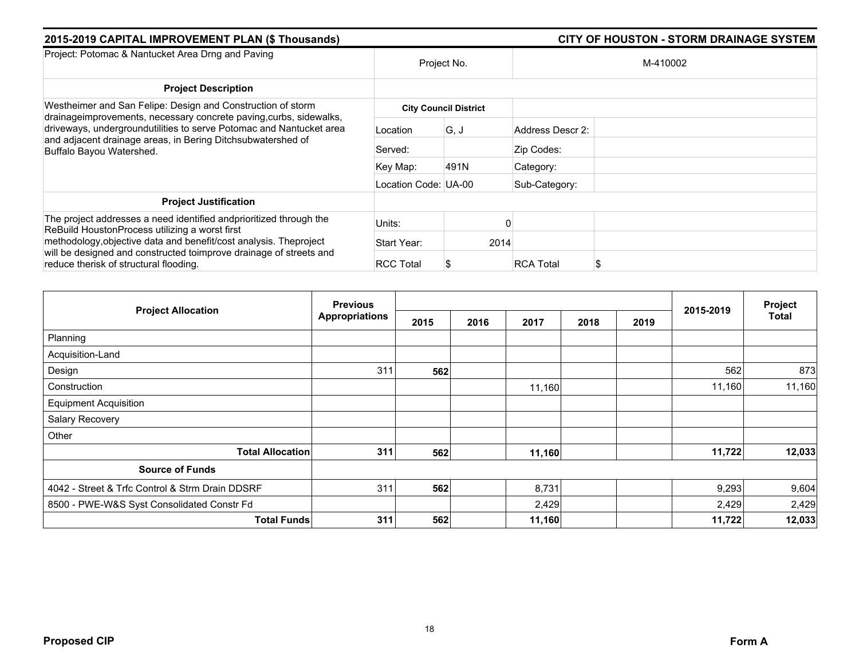| 2015-2019 CAPITAL IMPROVEMENT PLAN (\$ Thousands)                                                                                                                                  | <b>CITY OF HOUSTON - STORM DRAINAGE SYSTEM</b> |                              |                  |          |
|------------------------------------------------------------------------------------------------------------------------------------------------------------------------------------|------------------------------------------------|------------------------------|------------------|----------|
| Project: Potomac & Nantucket Area Drng and Paving                                                                                                                                  | Project No.                                    |                              |                  | M-410002 |
| <b>Project Description</b>                                                                                                                                                         |                                                |                              |                  |          |
| Westheimer and San Felipe: Design and Construction of storm<br>drainageimprovements, necessary concrete paving, curbs, sidewalks,                                                  |                                                | <b>City Council District</b> |                  |          |
| driveways, undergroundutilities to serve Potomac and Nantucket area<br>and adjacent drainage areas, in Bering Ditchsubwatershed of<br>Buffalo Bayou Watershed.                     | Location                                       | G, J                         | Address Descr 2: |          |
|                                                                                                                                                                                    | Served:                                        |                              | Zip Codes:       |          |
|                                                                                                                                                                                    | Key Map:                                       | 491N                         | Category:        |          |
|                                                                                                                                                                                    | Location Code: UA-00                           |                              | Sub-Category:    |          |
| <b>Project Justification</b>                                                                                                                                                       |                                                |                              |                  |          |
| The project addresses a need identified and prioritized through the<br>ReBuild HoustonProcess utilizing a worst first                                                              | Units:                                         |                              |                  |          |
| methodology, objective data and benefit/cost analysis. The project<br>will be designed and constructed toimprove drainage of streets and<br>reduce therisk of structural flooding. | Start Year:                                    | 2014                         |                  |          |
|                                                                                                                                                                                    | <b>RCC Total</b>                               |                              | <b>RCA Total</b> |          |

|                                                 | <b>Previous</b>       |      |              |      | Project |           |        |
|-------------------------------------------------|-----------------------|------|--------------|------|---------|-----------|--------|
| <b>Project Allocation</b>                       | <b>Appropriations</b> | 2015 | 2016<br>2017 | 2018 | 2019    | 2015-2019 | Total  |
| Planning                                        |                       |      |              |      |         |           |        |
| Acquisition-Land                                |                       |      |              |      |         |           |        |
| Design                                          | 311                   | 562  |              |      |         | 562       | 873    |
| Construction                                    |                       |      | 11,160       |      |         | 11,160    | 11,160 |
| <b>Equipment Acquisition</b>                    |                       |      |              |      |         |           |        |
| Salary Recovery                                 |                       |      |              |      |         |           |        |
| Other                                           |                       |      |              |      |         |           |        |
| <b>Total Allocation</b>                         | 311                   | 562  | 11,160       |      |         | 11,722    | 12,033 |
| <b>Source of Funds</b>                          |                       |      |              |      |         |           |        |
| 4042 - Street & Trfc Control & Strm Drain DDSRF | 311                   | 562  | 8,731        |      |         | 9,293     | 9,604  |
| 8500 - PWE-W&S Syst Consolidated Constr Fd      |                       |      | 2,429        |      |         | 2,429     | 2,429  |
| <b>Total Funds</b>                              | 311                   | 562  | 11,160       |      |         | 11,722    | 12,033 |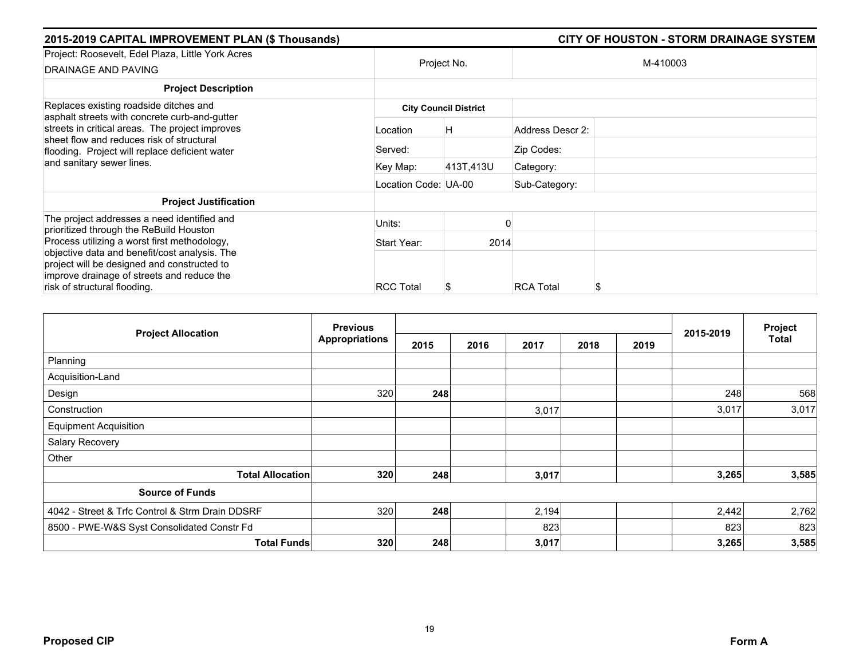| 2015-2019 CAPITAL IMPROVEMENT PLAN (\$ Thousands)                                                                                                                           |                      | <b>CITY OF HOUSTON - STORM DRAINAGE SYSTEM</b> |                       |  |  |  |
|-----------------------------------------------------------------------------------------------------------------------------------------------------------------------------|----------------------|------------------------------------------------|-----------------------|--|--|--|
| Project: Roosevelt, Edel Plaza, Little York Acres<br>DRAINAGE AND PAVING                                                                                                    |                      | Project No.                                    | M-410003              |  |  |  |
| <b>Project Description</b>                                                                                                                                                  |                      |                                                |                       |  |  |  |
| Replaces existing roadside ditches and<br>asphalt streets with concrete curb-and-gutter                                                                                     |                      | <b>City Council District</b>                   |                       |  |  |  |
| streets in critical areas. The project improves<br>sheet flow and reduces risk of structural<br>flooding. Project will replace deficient water<br>and sanitary sewer lines. | Location             | H.                                             | Address Descr 2:      |  |  |  |
|                                                                                                                                                                             | Served:              |                                                | Zip Codes:            |  |  |  |
|                                                                                                                                                                             | Key Map:             | 413T,413U                                      | Category:             |  |  |  |
|                                                                                                                                                                             | Location Code: UA-00 |                                                | Sub-Category:         |  |  |  |
| <b>Project Justification</b>                                                                                                                                                |                      |                                                |                       |  |  |  |
| The project addresses a need identified and<br>prioritized through the ReBuild Houston                                                                                      | Units:               |                                                |                       |  |  |  |
| Process utilizing a worst first methodology,                                                                                                                                | Start Year:          | 2014                                           |                       |  |  |  |
| objective data and benefit/cost analysis. The<br>project will be designed and constructed to<br>improve drainage of streets and reduce the<br>risk of structural flooding.  | <b>RCC Total</b>     |                                                | <b>RCA Total</b><br>S |  |  |  |

| <b>Project Allocation</b>                       | <b>Previous</b>       |      |      |       | Project |      |           |       |
|-------------------------------------------------|-----------------------|------|------|-------|---------|------|-----------|-------|
|                                                 | <b>Appropriations</b> | 2015 | 2016 | 2017  | 2018    | 2019 | 2015-2019 | Total |
| Planning                                        |                       |      |      |       |         |      |           |       |
| Acquisition-Land                                |                       |      |      |       |         |      |           |       |
| Design                                          | 320                   | 248  |      |       |         |      | 248       | 568   |
| Construction                                    |                       |      |      | 3,017 |         |      | 3,017     | 3,017 |
| <b>Equipment Acquisition</b>                    |                       |      |      |       |         |      |           |       |
| <b>Salary Recovery</b>                          |                       |      |      |       |         |      |           |       |
| Other                                           |                       |      |      |       |         |      |           |       |
| <b>Total Allocation</b>                         | 320                   | 248  |      | 3,017 |         |      | 3,265     | 3,585 |
| <b>Source of Funds</b>                          |                       |      |      |       |         |      |           |       |
| 4042 - Street & Trfc Control & Strm Drain DDSRF | 320                   | 248  |      | 2,194 |         |      | 2,442     | 2,762 |
| 8500 - PWE-W&S Syst Consolidated Constr Fd      |                       |      |      | 823   |         |      | 823       | 823   |
| <b>Total Funds</b>                              | 320                   | 248  |      | 3,017 |         |      | 3,265     | 3,585 |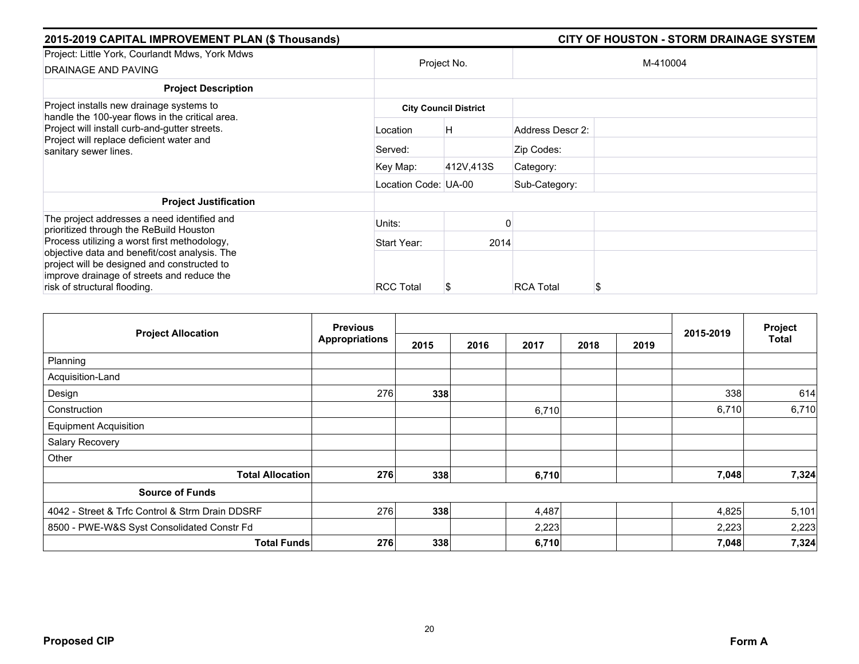| 2015-2019 CAPITAL IMPROVEMENT PLAN (\$ Thousands)                                                                                                                          |                      | <b>CITY OF HOUSTON - STORM DRAINAGE SYSTEM</b> |                       |  |  |  |
|----------------------------------------------------------------------------------------------------------------------------------------------------------------------------|----------------------|------------------------------------------------|-----------------------|--|--|--|
| Project: Little York, Courlandt Mdws, York Mdws<br>DRAINAGE AND PAVING                                                                                                     |                      | Project No.                                    | M-410004              |  |  |  |
| <b>Project Description</b>                                                                                                                                                 |                      |                                                |                       |  |  |  |
| Project installs new drainage systems to<br>handle the 100-year flows in the critical area.                                                                                |                      | <b>City Council District</b>                   |                       |  |  |  |
| Project will install curb-and-gutter streets.<br>Project will replace deficient water and<br>sanitary sewer lines.                                                         | Location             | H.                                             | Address Descr 2:      |  |  |  |
|                                                                                                                                                                            | Served:              |                                                | Zip Codes:            |  |  |  |
|                                                                                                                                                                            | Key Map:             | 412V,413S                                      | Category:             |  |  |  |
|                                                                                                                                                                            | Location Code: UA-00 |                                                | Sub-Category:         |  |  |  |
| <b>Project Justification</b>                                                                                                                                               |                      |                                                |                       |  |  |  |
| The project addresses a need identified and<br>prioritized through the ReBuild Houston                                                                                     | Units:               |                                                |                       |  |  |  |
| Process utilizing a worst first methodology,                                                                                                                               | Start Year:          | 2014                                           |                       |  |  |  |
| objective data and benefit/cost analysis. The<br>project will be designed and constructed to<br>improve drainage of streets and reduce the<br>risk of structural flooding. | <b>RCC Total</b>     |                                                | <b>RCA Total</b><br>S |  |  |  |

| <b>Project Allocation</b>                       | <b>Previous</b>       |      |      |       | Project |      |           |       |
|-------------------------------------------------|-----------------------|------|------|-------|---------|------|-----------|-------|
|                                                 | <b>Appropriations</b> | 2015 | 2016 | 2017  | 2018    | 2019 | 2015-2019 | Total |
| Planning                                        |                       |      |      |       |         |      |           |       |
| Acquisition-Land                                |                       |      |      |       |         |      |           |       |
| Design                                          | 276                   | 338  |      |       |         |      | 338       | 614   |
| Construction                                    |                       |      |      | 6,710 |         |      | 6,710     | 6,710 |
| <b>Equipment Acquisition</b>                    |                       |      |      |       |         |      |           |       |
| Salary Recovery                                 |                       |      |      |       |         |      |           |       |
| Other                                           |                       |      |      |       |         |      |           |       |
| <b>Total Allocation</b>                         | 276                   | 338  |      | 6,710 |         |      | 7,048     | 7,324 |
| <b>Source of Funds</b>                          |                       |      |      |       |         |      |           |       |
| 4042 - Street & Trfc Control & Strm Drain DDSRF | 276                   | 338  |      | 4,487 |         |      | 4,825     | 5,101 |
| 8500 - PWE-W&S Syst Consolidated Constr Fd      |                       |      |      | 2,223 |         |      | 2,223     | 2,223 |
| <b>Total Funds</b>                              | 276                   | 338  |      | 6,710 |         |      | 7,048     | 7,324 |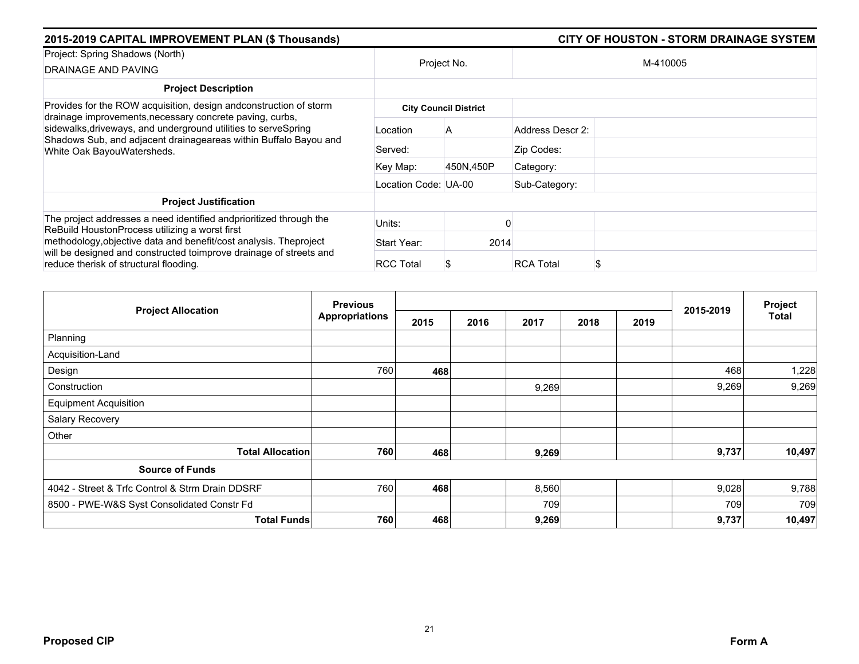| 2015-2019 CAPITAL IMPROVEMENT PLAN (\$ Thousands)                                                                                                                |                      | <b>CITY OF HOUSTON - STORM DRAINAGE SYSTEM</b> |                       |  |  |  |
|------------------------------------------------------------------------------------------------------------------------------------------------------------------|----------------------|------------------------------------------------|-----------------------|--|--|--|
| Project: Spring Shadows (North)<br>DRAINAGE AND PAVING                                                                                                           | Project No.          |                                                | M-410005              |  |  |  |
| <b>Project Description</b>                                                                                                                                       |                      |                                                |                       |  |  |  |
| Provides for the ROW acquisition, design and construction of storm<br>drainage improvements, necessary concrete paving, curbs,                                   |                      | <b>City Council District</b>                   |                       |  |  |  |
| sidewalks, driveways, and underground utilities to serveSpring<br>Shadows Sub, and adjacent drainageareas within Buffalo Bayou and<br>White Oak BayouWatersheds. | Location             | A                                              | Address Descr 2:      |  |  |  |
|                                                                                                                                                                  | Served:              |                                                | Zip Codes:            |  |  |  |
|                                                                                                                                                                  | Key Map:             | 450N,450P                                      | Category:             |  |  |  |
|                                                                                                                                                                  | Location Code: UA-00 |                                                | Sub-Category:         |  |  |  |
| <b>Project Justification</b>                                                                                                                                     |                      |                                                |                       |  |  |  |
| The project addresses a need identified andprioritized through the<br>ReBuild HoustonProcess utilizing a worst first                                             | Units:               |                                                |                       |  |  |  |
| methodology, objective data and benefit/cost analysis. The project                                                                                               | Start Year:          | 2014                                           |                       |  |  |  |
| will be designed and constructed toimprove drainage of streets and<br>reduce therisk of structural flooding.                                                     | <b>RCC Total</b>     |                                                | <b>RCA Total</b><br>S |  |  |  |

|                                                 | <b>Previous</b>       |      |      |       | Project |      |           |        |
|-------------------------------------------------|-----------------------|------|------|-------|---------|------|-----------|--------|
| <b>Project Allocation</b>                       | <b>Appropriations</b> | 2015 | 2016 | 2017  | 2018    | 2019 | 2015-2019 | Total  |
| Planning                                        |                       |      |      |       |         |      |           |        |
| Acquisition-Land                                |                       |      |      |       |         |      |           |        |
| Design                                          | 760                   | 468  |      |       |         |      | 468       | 1,228  |
| Construction                                    |                       |      |      | 9,269 |         |      | 9,269     | 9,269  |
| <b>Equipment Acquisition</b>                    |                       |      |      |       |         |      |           |        |
| Salary Recovery                                 |                       |      |      |       |         |      |           |        |
| Other                                           |                       |      |      |       |         |      |           |        |
| <b>Total Allocation</b>                         | 760                   | 468  |      | 9,269 |         |      | 9,737     | 10,497 |
| <b>Source of Funds</b>                          |                       |      |      |       |         |      |           |        |
| 4042 - Street & Trfc Control & Strm Drain DDSRF | 760                   | 468  |      | 8,560 |         |      | 9,028     | 9,788  |
| 8500 - PWE-W&S Syst Consolidated Constr Fd      |                       |      |      | 709   |         |      | 709       | 709    |
| <b>Total Funds</b>                              | 760                   | 468  |      | 9,269 |         |      | 9,737     | 10,497 |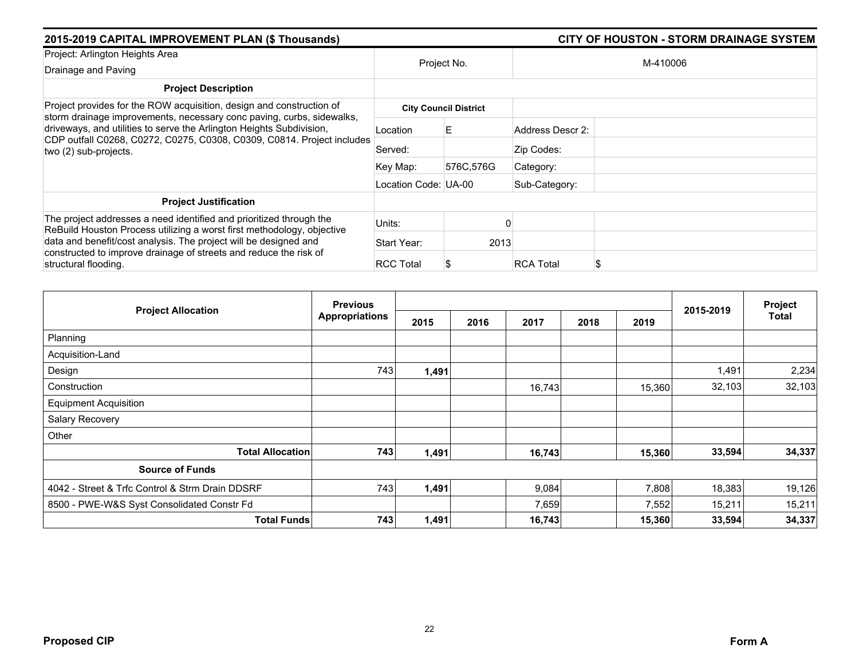| 2015-2019 CAPITAL IMPROVEMENT PLAN (\$ Thousands)                                                                                                                       |                      |                              |                       |          |  |
|-------------------------------------------------------------------------------------------------------------------------------------------------------------------------|----------------------|------------------------------|-----------------------|----------|--|
| Project: Arlington Heights Area<br>Drainage and Paving                                                                                                                  | Project No.          |                              |                       | M-410006 |  |
| <b>Project Description</b>                                                                                                                                              |                      |                              |                       |          |  |
| Project provides for the ROW acquisition, design and construction of<br>storm drainage improvements, necessary conc paving, curbs, sidewalks,                           |                      | <b>City Council District</b> |                       |          |  |
| driveways, and utilities to serve the Arlington Heights Subdivision,<br>CDP outfall C0268, C0272, C0275, C0308, C0309, C0814. Project includes<br>two (2) sub-projects. | Location             | E                            | Address Descr 2:      |          |  |
|                                                                                                                                                                         | Served:              |                              | Zip Codes:            |          |  |
|                                                                                                                                                                         | Key Map:             | 576C,576G                    | Category:             |          |  |
|                                                                                                                                                                         | Location Code: UA-00 |                              | Sub-Category:         |          |  |
| <b>Project Justification</b>                                                                                                                                            |                      |                              |                       |          |  |
| The project addresses a need identified and prioritized through the<br>ReBuild Houston Process utilizing a worst first methodology, objective                           | Units:               |                              |                       |          |  |
| data and benefit/cost analysis. The project will be designed and<br>constructed to improve drainage of streets and reduce the risk of<br>structural flooding.           | Start Year:          | 2013                         |                       |          |  |
|                                                                                                                                                                         | <b>RCC Total</b>     |                              | <b>RCA Total</b><br>S |          |  |

| <b>Project Allocation</b>                       | <b>Previous</b>       |       |      |        |      |        |           | Project      |
|-------------------------------------------------|-----------------------|-------|------|--------|------|--------|-----------|--------------|
|                                                 | <b>Appropriations</b> | 2015  | 2016 | 2017   | 2018 | 2019   | 2015-2019 | <b>Total</b> |
| Planning                                        |                       |       |      |        |      |        |           |              |
| Acquisition-Land                                |                       |       |      |        |      |        |           |              |
| Design                                          | 743                   | 1,491 |      |        |      |        | 1,491     | 2,234        |
| Construction                                    |                       |       |      | 16,743 |      | 15,360 | 32,103    | 32,103       |
| <b>Equipment Acquisition</b>                    |                       |       |      |        |      |        |           |              |
| Salary Recovery                                 |                       |       |      |        |      |        |           |              |
| Other                                           |                       |       |      |        |      |        |           |              |
| <b>Total Allocation</b>                         | 743                   | 1,491 |      | 16,743 |      | 15,360 | 33,594    | 34,337       |
| <b>Source of Funds</b>                          |                       |       |      |        |      |        |           |              |
| 4042 - Street & Trfc Control & Strm Drain DDSRF | 743                   | 1,491 |      | 9,084  |      | 7,808  | 18,383    | 19,126       |
| 8500 - PWE-W&S Syst Consolidated Constr Fd      |                       |       |      | 7,659  |      | 7,552  | 15,211    | 15,211       |
| <b>Total Funds</b>                              | 743                   | 1,491 |      | 16,743 |      | 15,360 | 33,594    | 34,337       |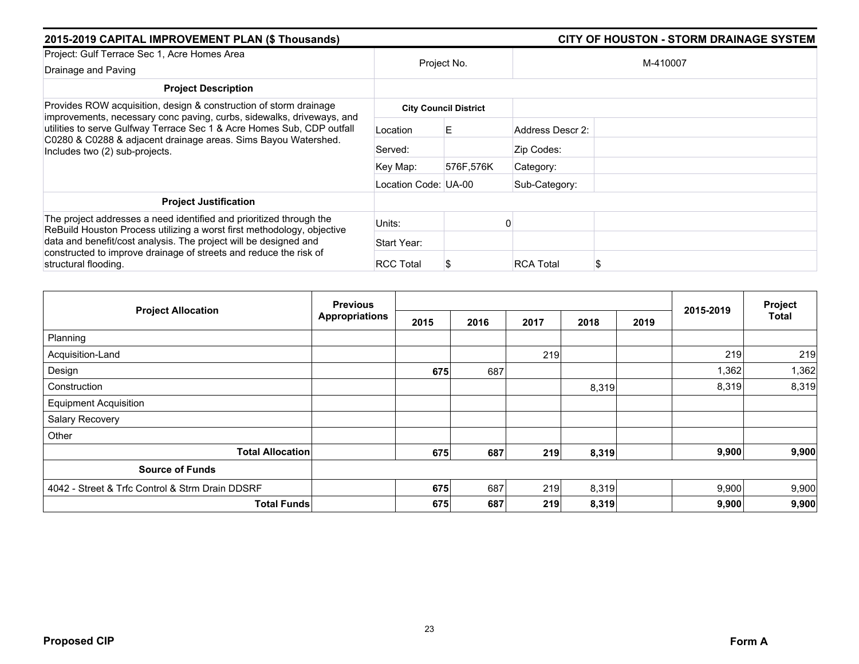| 2015-2019 CAPITAL IMPROVEMENT PLAN (\$ Thousands)                                                                                                                          |                      |                              |                        |  |  |  |
|----------------------------------------------------------------------------------------------------------------------------------------------------------------------------|----------------------|------------------------------|------------------------|--|--|--|
| Project: Gulf Terrace Sec 1, Acre Homes Area                                                                                                                               |                      |                              |                        |  |  |  |
| Drainage and Paving                                                                                                                                                        |                      | Project No.                  | M-410007               |  |  |  |
| <b>Project Description</b>                                                                                                                                                 |                      |                              |                        |  |  |  |
| Provides ROW acquisition, design & construction of storm drainage<br>improvements, necessary conc paving, curbs, sidewalks, driveways, and                                 |                      | <b>City Council District</b> |                        |  |  |  |
| utilities to serve Gulfway Terrace Sec 1 & Acre Homes Sub, CDP outfall<br>C0280 & C0288 & adjacent drainage areas. Sims Bayou Watershed.<br>Includes two (2) sub-projects. | Location             | E.                           | Address Descr 2:       |  |  |  |
|                                                                                                                                                                            | Served:              |                              | Zip Codes:             |  |  |  |
|                                                                                                                                                                            | Key Map:             | 576F,576K                    | Category:              |  |  |  |
|                                                                                                                                                                            | Location Code: UA-00 |                              | Sub-Category:          |  |  |  |
| <b>Project Justification</b>                                                                                                                                               |                      |                              |                        |  |  |  |
| The project addresses a need identified and prioritized through the<br>ReBuild Houston Process utilizing a worst first methodology, objective                              | Units:               |                              |                        |  |  |  |
| data and benefit/cost analysis. The project will be designed and                                                                                                           | Start Year:          |                              |                        |  |  |  |
| constructed to improve drainage of streets and reduce the risk of<br>structural flooding.                                                                                  | <b>RCC Total</b>     |                              | <b>RCA Total</b><br>\$ |  |  |  |

| <b>Previous</b><br><b>Project Allocation</b>    |                       |      |      |      |       | 2015-2019 | Project |              |
|-------------------------------------------------|-----------------------|------|------|------|-------|-----------|---------|--------------|
|                                                 | <b>Appropriations</b> | 2015 | 2016 | 2017 | 2018  | 2019      |         | <b>Total</b> |
| Planning                                        |                       |      |      |      |       |           |         |              |
| Acquisition-Land                                |                       |      |      | 219  |       |           | 219     | 219          |
| Design                                          |                       | 675  | 687  |      |       |           | 1,362   | 1,362        |
| Construction                                    |                       |      |      |      | 8,319 |           | 8,319   | 8,319        |
| <b>Equipment Acquisition</b>                    |                       |      |      |      |       |           |         |              |
| Salary Recovery                                 |                       |      |      |      |       |           |         |              |
| Other                                           |                       |      |      |      |       |           |         |              |
| <b>Total Allocation</b>                         |                       | 675  | 687  | 219  | 8,319 |           | 9,900   | 9,900        |
| <b>Source of Funds</b>                          |                       |      |      |      |       |           |         |              |
| 4042 - Street & Trfc Control & Strm Drain DDSRF |                       | 675  | 687  | 219  | 8,319 |           | 9,900   | 9,900        |
| <b>Total Funds</b>                              |                       | 675  | 687  | 219  | 8,319 |           | 9,900   | 9,900        |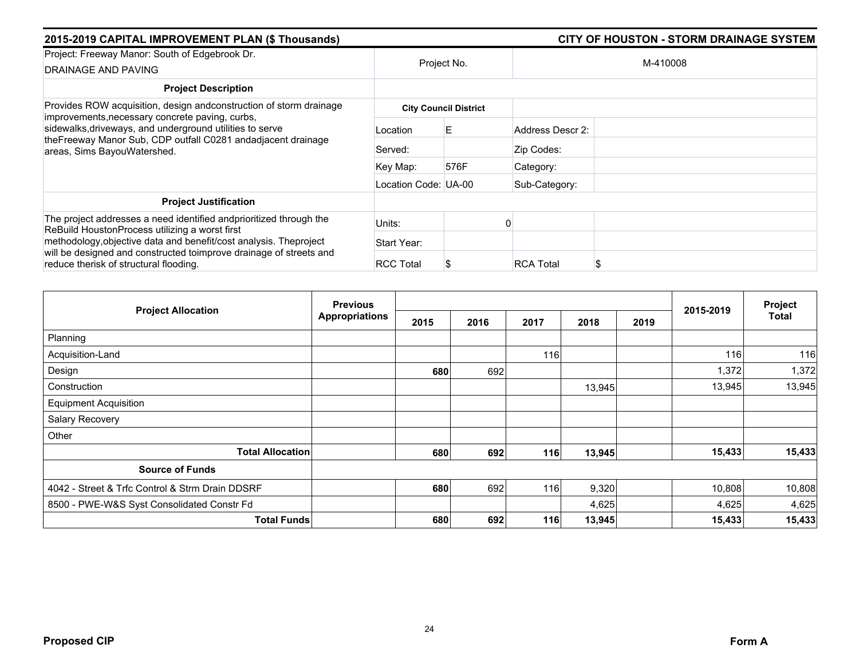| 2015-2019 CAPITAL IMPROVEMENT PLAN (\$ Thousands)                                                                                                       |                      |                              |                       |  |  |
|---------------------------------------------------------------------------------------------------------------------------------------------------------|----------------------|------------------------------|-----------------------|--|--|
| Project: Freeway Manor: South of Edgebrook Dr.<br>DRAINAGE AND PAVING                                                                                   |                      | Project No.                  | M-410008              |  |  |
| <b>Project Description</b>                                                                                                                              |                      |                              |                       |  |  |
| Provides ROW acquisition, design and construction of storm drainage<br>improvements, necessary concrete paving, curbs,                                  |                      | <b>City Council District</b> |                       |  |  |
| sidewalks, driveways, and underground utilities to serve<br>theFreeway Manor Sub, CDP outfall C0281 andadjacent drainage<br>areas, Sims BayouWatershed. | Location             | Е                            | Address Descr 2:      |  |  |
|                                                                                                                                                         | Served:              |                              | Zip Codes:            |  |  |
|                                                                                                                                                         | Key Map:             | 576F                         | Category:             |  |  |
|                                                                                                                                                         | Location Code: UA-00 |                              | Sub-Category:         |  |  |
| <b>Project Justification</b>                                                                                                                            |                      |                              |                       |  |  |
| The project addresses a need identified and prioritized through the<br>ReBuild HoustonProcess utilizing a worst first                                   | Units:               |                              |                       |  |  |
| methodology, objective data and benefit/cost analysis. Theproject                                                                                       | Start Year:          |                              |                       |  |  |
| will be designed and constructed toimprove drainage of streets and<br>reduce therisk of structural flooding.                                            | <b>RCC Total</b>     |                              | <b>RCA Total</b><br>S |  |  |

| <b>Project Allocation</b>                       | <b>Previous</b>       |      |      |      | Project |      |           |        |
|-------------------------------------------------|-----------------------|------|------|------|---------|------|-----------|--------|
|                                                 | <b>Appropriations</b> | 2015 | 2016 | 2017 | 2018    | 2019 | 2015-2019 | Total  |
| Planning                                        |                       |      |      |      |         |      |           |        |
| Acquisition-Land                                |                       |      |      | 116  |         |      | 116       | 116    |
| Design                                          |                       | 680  | 692  |      |         |      | 1,372     | 1,372  |
| Construction                                    |                       |      |      |      | 13,945  |      | 13,945    | 13,945 |
| <b>Equipment Acquisition</b>                    |                       |      |      |      |         |      |           |        |
| Salary Recovery                                 |                       |      |      |      |         |      |           |        |
| Other                                           |                       |      |      |      |         |      |           |        |
| <b>Total Allocation</b>                         |                       | 680  | 692  | 116  | 13,945  |      | 15,433    | 15,433 |
| <b>Source of Funds</b>                          |                       |      |      |      |         |      |           |        |
| 4042 - Street & Trfc Control & Strm Drain DDSRF |                       | 680  | 692  | 116  | 9,320   |      | 10,808    | 10,808 |
| 8500 - PWE-W&S Syst Consolidated Constr Fd      |                       |      |      |      | 4,625   |      | 4,625     | 4,625  |
| <b>Total Funds</b>                              |                       | 680  | 692  | 116  | 13,945  |      | 15,433    | 15,433 |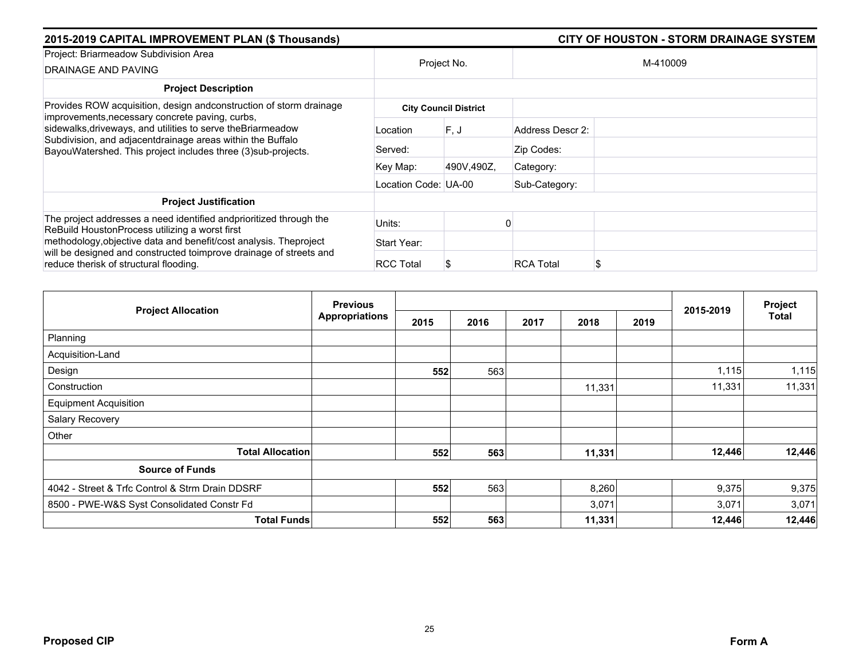| 2015-2019 CAPITAL IMPROVEMENT PLAN (\$ Thousands)                                                                                                                                                                                              |                      |                              | <b>CITY OF HOUSTON - STORM DRAINAGE SYSTEM</b> |
|------------------------------------------------------------------------------------------------------------------------------------------------------------------------------------------------------------------------------------------------|----------------------|------------------------------|------------------------------------------------|
| Project: Briarmeadow Subdivision Area<br>DRAINAGE AND PAVING                                                                                                                                                                                   |                      | Project No.                  | M-410009                                       |
| <b>Project Description</b>                                                                                                                                                                                                                     |                      |                              |                                                |
| Provides ROW acquisition, design and construction of storm drainage                                                                                                                                                                            |                      | <b>City Council District</b> |                                                |
| improvements, necessary concrete paving, curbs,<br>sidewalks, driveways, and utilities to serve the Briarmeadow<br>Subdivision, and adjacentdrainage areas within the Buffalo<br>BayouWatershed. This project includes three (3) sub-projects. | Location             | F.J                          | Address Descr 2:                               |
|                                                                                                                                                                                                                                                | Served:              |                              | Zip Codes:                                     |
|                                                                                                                                                                                                                                                | Key Map:             | 490V,490Z,                   | Category:                                      |
|                                                                                                                                                                                                                                                | Location Code: UA-00 |                              | Sub-Category:                                  |
| <b>Project Justification</b>                                                                                                                                                                                                                   |                      |                              |                                                |
| The project addresses a need identified and prioritized through the<br>ReBuild HoustonProcess utilizing a worst first                                                                                                                          | Units:               |                              |                                                |
| methodology, objective data and benefit/cost analysis. Theproject                                                                                                                                                                              | Start Year:          |                              |                                                |
| will be designed and constructed toimprove drainage of streets and<br>reduce therisk of structural flooding.                                                                                                                                   | <b>RCC Total</b>     |                              | <b>RCA Total</b><br>S                          |

|                                                 | <b>Previous</b>       |      |      |      |        |      | 2015-2019 | Project<br>Total |
|-------------------------------------------------|-----------------------|------|------|------|--------|------|-----------|------------------|
| <b>Project Allocation</b>                       | <b>Appropriations</b> | 2015 | 2016 | 2017 | 2018   | 2019 |           |                  |
| Planning                                        |                       |      |      |      |        |      |           |                  |
| Acquisition-Land                                |                       |      |      |      |        |      |           |                  |
| Design                                          |                       | 552  | 563  |      |        |      | 1,115     | 1,115            |
| Construction                                    |                       |      |      |      | 11,331 |      | 11,331    | 11,331           |
| <b>Equipment Acquisition</b>                    |                       |      |      |      |        |      |           |                  |
| Salary Recovery                                 |                       |      |      |      |        |      |           |                  |
| Other                                           |                       |      |      |      |        |      |           |                  |
| <b>Total Allocation</b>                         |                       | 552  | 563  |      | 11,331 |      | 12,446    | 12,446           |
| <b>Source of Funds</b>                          |                       |      |      |      |        |      |           |                  |
| 4042 - Street & Trfc Control & Strm Drain DDSRF |                       | 552  | 563  |      | 8,260  |      | 9,375     | 9,375            |
| 8500 - PWE-W&S Syst Consolidated Constr Fd      |                       |      |      |      | 3,071  |      | 3,071     | 3,071            |
| <b>Total Funds</b>                              |                       | 552  | 563  |      | 11,331 |      | 12,446    | 12,446           |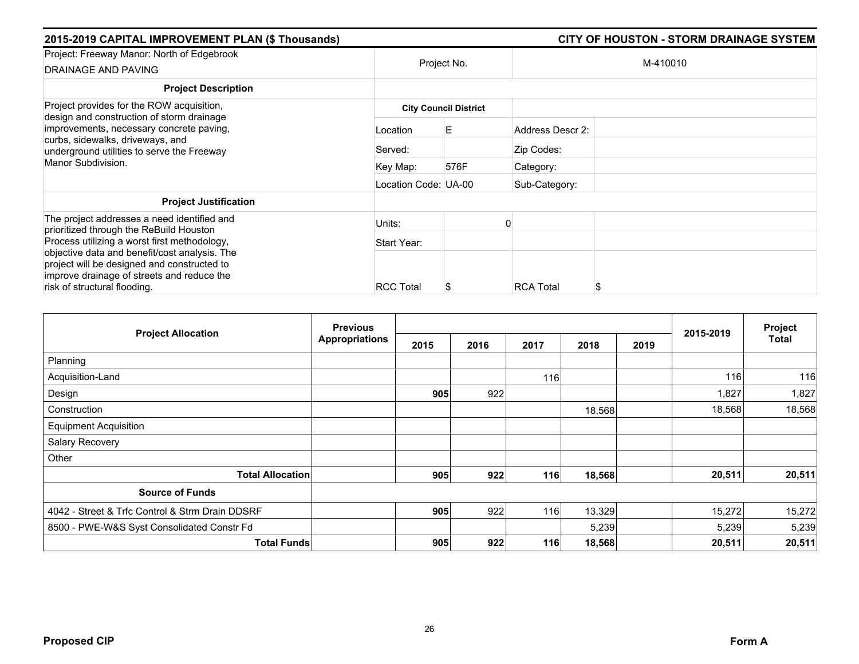|             |                  | <b>CITY OF HOUSTON - STORM DRAINAGE SYSTEM</b>                      |
|-------------|------------------|---------------------------------------------------------------------|
|             |                  | M-410010                                                            |
|             |                  |                                                                     |
|             |                  |                                                                     |
| Location    | E.               | Address Descr 2:                                                    |
| Served:     |                  | Zip Codes:                                                          |
| Key Map:    | 576F             | Category:                                                           |
|             |                  | Sub-Category:                                                       |
|             |                  |                                                                     |
| Units:      |                  |                                                                     |
| Start Year: |                  |                                                                     |
|             |                  | <b>RCA Total</b><br>S                                               |
|             | <b>RCC Total</b> | Project No.<br><b>City Council District</b><br>Location Code: UA-00 |

| <b>Project Allocation</b>                       | <b>Previous</b>       |      |      |      |        |      |           | Project      |
|-------------------------------------------------|-----------------------|------|------|------|--------|------|-----------|--------------|
|                                                 | <b>Appropriations</b> | 2015 | 2016 | 2017 | 2018   | 2019 | 2015-2019 | <b>Total</b> |
| Planning                                        |                       |      |      |      |        |      |           |              |
| Acquisition-Land                                |                       |      |      | 116  |        |      | 116       | 116          |
| Design                                          |                       | 905  | 922  |      |        |      | 1,827     | 1,827        |
| Construction                                    |                       |      |      |      | 18,568 |      | 18,568    | 18,568       |
| <b>Equipment Acquisition</b>                    |                       |      |      |      |        |      |           |              |
| Salary Recovery                                 |                       |      |      |      |        |      |           |              |
| Other                                           |                       |      |      |      |        |      |           |              |
| <b>Total Allocation</b>                         |                       | 905  | 922  | 116  | 18,568 |      | 20,511    | 20,511       |
| <b>Source of Funds</b>                          |                       |      |      |      |        |      |           |              |
| 4042 - Street & Trfc Control & Strm Drain DDSRF |                       | 905  | 922  | 116  | 13,329 |      | 15,272    | 15,272       |
| 8500 - PWE-W&S Syst Consolidated Constr Fd      |                       |      |      |      | 5,239  |      | 5,239     | 5,239        |
| <b>Total Funds</b>                              |                       | 905  | 922  | 116  | 18,568 |      | 20,511    | 20,511       |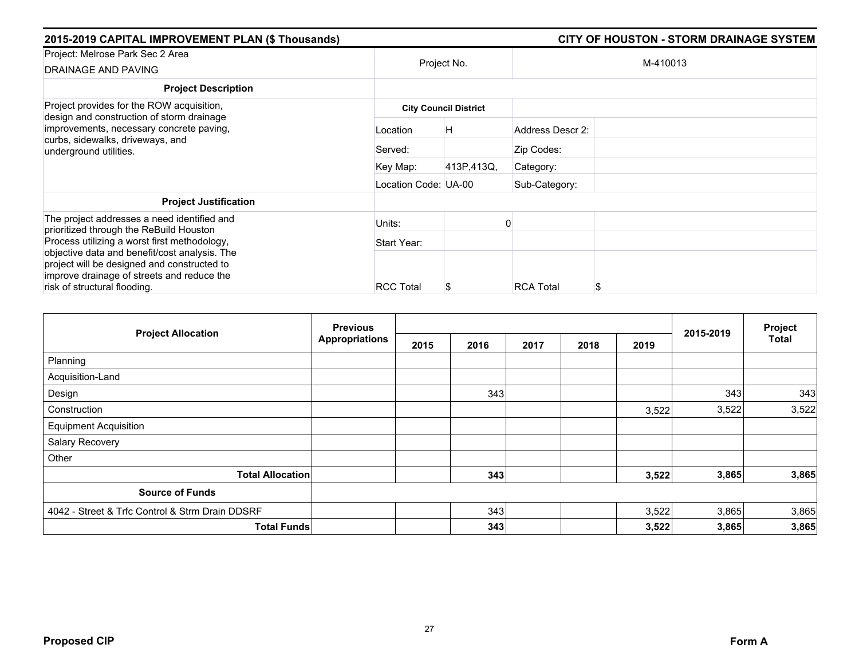| 2015-2019 CAPITAL IMPROVEMENT PLAN (\$ Thousands)                                                                                                                          |                      |                              | <b>CITY OF HOUSTON - STORM DRAINAGE SYSTEM</b> |
|----------------------------------------------------------------------------------------------------------------------------------------------------------------------------|----------------------|------------------------------|------------------------------------------------|
| Project: Melrose Park Sec 2 Area<br><b>DRAINAGE AND PAVING</b>                                                                                                             | Project No.          |                              | M-410013                                       |
| <b>Project Description</b>                                                                                                                                                 |                      |                              |                                                |
| Project provides for the ROW acquisition,                                                                                                                                  |                      | <b>City Council District</b> |                                                |
| design and construction of storm drainage<br>improvements, necessary concrete paving,<br>curbs, sidewalks, driveways, and<br>underground utilities.                        | Location             | Η                            | Address Descr 2:                               |
|                                                                                                                                                                            | Served:              |                              | Zip Codes:                                     |
|                                                                                                                                                                            | Key Map:             | 413P,413Q,                   | Category:                                      |
|                                                                                                                                                                            | Location Code: UA-00 |                              | Sub-Category:                                  |
| <b>Project Justification</b>                                                                                                                                               |                      |                              |                                                |
| The project addresses a need identified and<br>prioritized through the ReBuild Houston                                                                                     | Units:               |                              |                                                |
| Process utilizing a worst first methodology,                                                                                                                               | Start Year:          |                              |                                                |
| objective data and benefit/cost analysis. The<br>project will be designed and constructed to<br>improve drainage of streets and reduce the<br>risk of structural flooding. | <b>RCC Total</b>     |                              | <b>RCA Total</b><br>S                          |

|                                                 | <b>Previous</b>       |      |      |      |      |       |           | Project      |
|-------------------------------------------------|-----------------------|------|------|------|------|-------|-----------|--------------|
| <b>Project Allocation</b>                       | <b>Appropriations</b> | 2015 | 2016 | 2017 | 2018 | 2019  | 2015-2019 | <b>Total</b> |
| Planning                                        |                       |      |      |      |      |       |           |              |
| Acquisition-Land                                |                       |      |      |      |      |       |           |              |
| Design                                          |                       |      | 343  |      |      |       | 343       | 343          |
| Construction                                    |                       |      |      |      |      | 3,522 | 3,522     | 3,522        |
| <b>Equipment Acquisition</b>                    |                       |      |      |      |      |       |           |              |
| Salary Recovery                                 |                       |      |      |      |      |       |           |              |
| Other                                           |                       |      |      |      |      |       |           |              |
| <b>Total Allocation</b>                         |                       |      | 343  |      |      | 3,522 | 3,865     | 3,865        |
| <b>Source of Funds</b>                          |                       |      |      |      |      |       |           |              |
| 4042 - Street & Trfc Control & Strm Drain DDSRF |                       |      | 343  |      |      | 3,522 | 3,865     | 3,865        |
| <b>Total Funds</b>                              |                       |      | 343  |      |      | 3,522 | 3,865     | 3,865        |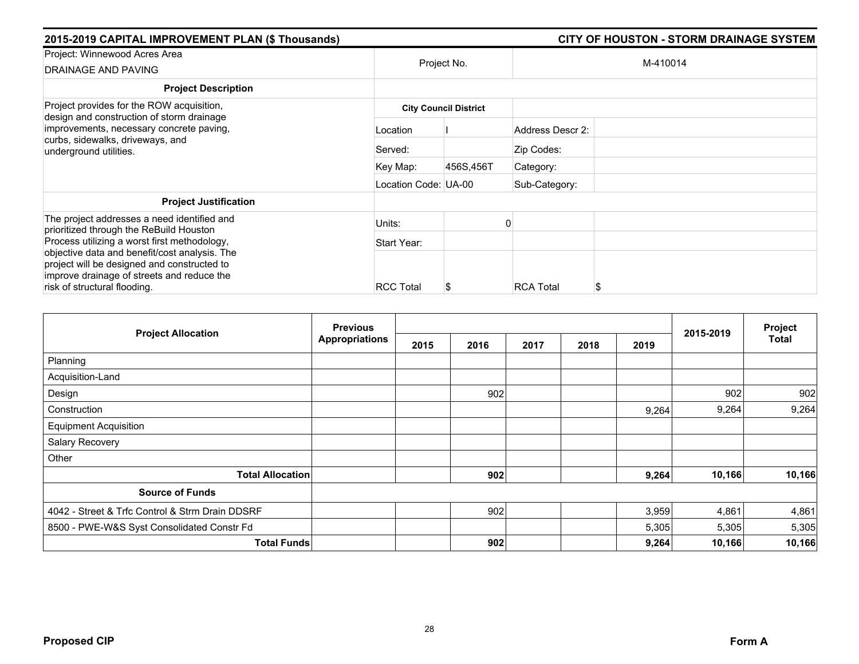| 2015-2019 CAPITAL IMPROVEMENT PLAN (\$ Thousands)                                                                                                                          |                      |                              | <b>CITY OF HOUSTON - STORM DRAINAGE SYSTEM</b> |
|----------------------------------------------------------------------------------------------------------------------------------------------------------------------------|----------------------|------------------------------|------------------------------------------------|
| Project: Winnewood Acres Area<br><b>DRAINAGE AND PAVING</b>                                                                                                                | Project No.          |                              | M-410014                                       |
| <b>Project Description</b>                                                                                                                                                 |                      |                              |                                                |
| Project provides for the ROW acquisition,                                                                                                                                  |                      | <b>City Council District</b> |                                                |
| design and construction of storm drainage<br>improvements, necessary concrete paving,<br>curbs, sidewalks, driveways, and<br>underground utilities.                        | Location             |                              | Address Descr 2:                               |
|                                                                                                                                                                            | Served:              |                              | Zip Codes:                                     |
|                                                                                                                                                                            | Key Map:             | 456S,456T                    | Category:                                      |
|                                                                                                                                                                            | Location Code: UA-00 |                              | Sub-Category:                                  |
| <b>Project Justification</b>                                                                                                                                               |                      |                              |                                                |
| The project addresses a need identified and<br>prioritized through the ReBuild Houston                                                                                     | Units:               |                              |                                                |
| Process utilizing a worst first methodology,                                                                                                                               | Start Year:          |                              |                                                |
| objective data and benefit/cost analysis. The<br>project will be designed and constructed to<br>improve drainage of streets and reduce the<br>risk of structural flooding. | <b>RCC Total</b>     |                              | <b>RCA Total</b><br>S                          |

|                                                 | <b>Previous</b>       |      |      |      |      |       |           | Project      |
|-------------------------------------------------|-----------------------|------|------|------|------|-------|-----------|--------------|
| <b>Project Allocation</b>                       | <b>Appropriations</b> | 2015 | 2016 | 2017 | 2018 | 2019  | 2015-2019 | <b>Total</b> |
| Planning                                        |                       |      |      |      |      |       |           |              |
| Acquisition-Land                                |                       |      |      |      |      |       |           |              |
| Design                                          |                       |      | 902  |      |      |       | 902       | 902          |
| Construction                                    |                       |      |      |      |      | 9,264 | 9,264     | 9,264        |
| <b>Equipment Acquisition</b>                    |                       |      |      |      |      |       |           |              |
| Salary Recovery                                 |                       |      |      |      |      |       |           |              |
| Other                                           |                       |      |      |      |      |       |           |              |
| <b>Total Allocation</b>                         |                       |      | 902  |      |      | 9,264 | 10,166    | 10,166       |
| <b>Source of Funds</b>                          |                       |      |      |      |      |       |           |              |
| 4042 - Street & Trfc Control & Strm Drain DDSRF |                       |      | 902  |      |      | 3,959 | 4,861     | 4,861        |
| 8500 - PWE-W&S Syst Consolidated Constr Fd      |                       |      |      |      |      | 5,305 | 5,305     | 5,305        |
| <b>Total Funds</b>                              |                       |      | 902  |      |      | 9,264 | 10,166    | 10,166       |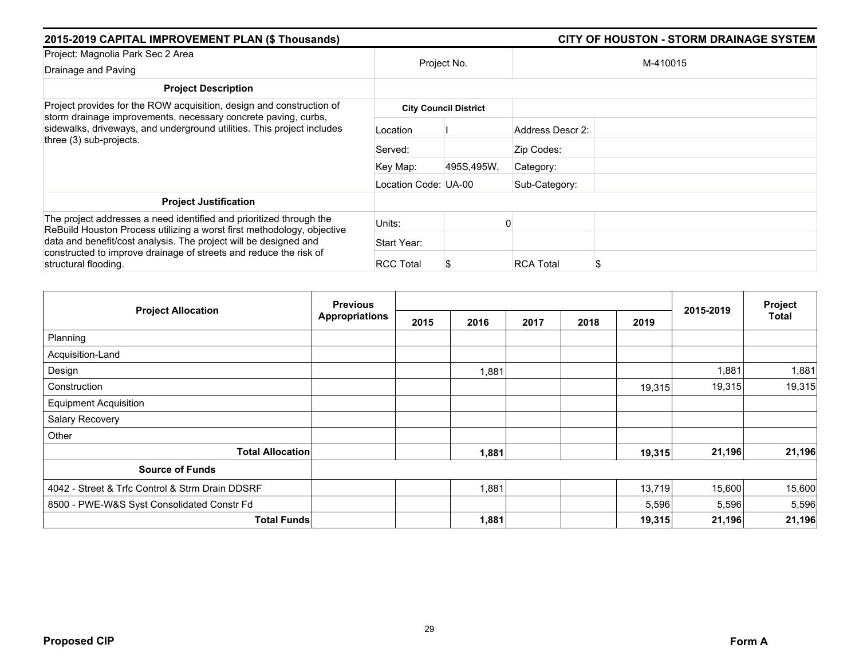| 2015-2019 CAPITAL IMPROVEMENT PLAN (\$ Thousands)                                                                                                                                                                                           |                      |                              | CITY OF HOUSTON - STORM DRAINAGE SYSTEM |
|---------------------------------------------------------------------------------------------------------------------------------------------------------------------------------------------------------------------------------------------|----------------------|------------------------------|-----------------------------------------|
| Project: Magnolia Park Sec 2 Area<br>Drainage and Paving                                                                                                                                                                                    | Project No.          |                              | M-410015                                |
| <b>Project Description</b>                                                                                                                                                                                                                  |                      |                              |                                         |
| Project provides for the ROW acquisition, design and construction of<br>storm drainage improvements, necessary concrete paving, curbs,<br>sidewalks, driveways, and underground utilities. This project includes<br>three (3) sub-projects. |                      | <b>City Council District</b> |                                         |
|                                                                                                                                                                                                                                             | Location             |                              | Address Descr 2:                        |
|                                                                                                                                                                                                                                             | Served:              |                              | Zip Codes:                              |
|                                                                                                                                                                                                                                             | Key Map:             | 495S,495W,                   | Category:                               |
|                                                                                                                                                                                                                                             | Location Code: UA-00 |                              | Sub-Category:                           |
| <b>Project Justification</b>                                                                                                                                                                                                                |                      |                              |                                         |
| The project addresses a need identified and prioritized through the<br>ReBuild Houston Process utilizing a worst first methodology, objective                                                                                               | Units:               |                              |                                         |
| data and benefit/cost analysis. The project will be designed and                                                                                                                                                                            | Start Year:          |                              |                                         |
| constructed to improve drainage of streets and reduce the risk of<br>structural flooding.                                                                                                                                                   | <b>RCC Total</b>     |                              | <b>RCA Total</b><br>\$                  |

|                                                 | <b>Previous</b>       |      |       |      |      |        |           | Project      |
|-------------------------------------------------|-----------------------|------|-------|------|------|--------|-----------|--------------|
| <b>Project Allocation</b>                       | <b>Appropriations</b> | 2015 | 2016  | 2017 | 2018 | 2019   | 2015-2019 | <b>Total</b> |
| Planning                                        |                       |      |       |      |      |        |           |              |
| Acquisition-Land                                |                       |      |       |      |      |        |           |              |
| Design                                          |                       |      | 1,881 |      |      |        | 1,881     | 1,881        |
| Construction                                    |                       |      |       |      |      | 19,315 | 19,315    | 19,315       |
| <b>Equipment Acquisition</b>                    |                       |      |       |      |      |        |           |              |
| Salary Recovery                                 |                       |      |       |      |      |        |           |              |
| Other                                           |                       |      |       |      |      |        |           |              |
| <b>Total Allocation</b>                         |                       |      | 1,881 |      |      | 19,315 | 21,196    | 21,196       |
| <b>Source of Funds</b>                          |                       |      |       |      |      |        |           |              |
| 4042 - Street & Trfc Control & Strm Drain DDSRF |                       |      | 1,881 |      |      | 13,719 | 15,600    | 15,600       |
| 8500 - PWE-W&S Syst Consolidated Constr Fd      |                       |      |       |      |      | 5,596  | 5,596     | 5,596        |
| <b>Total Funds</b>                              |                       |      | 1,881 |      |      | 19,315 | 21,196    | 21,196       |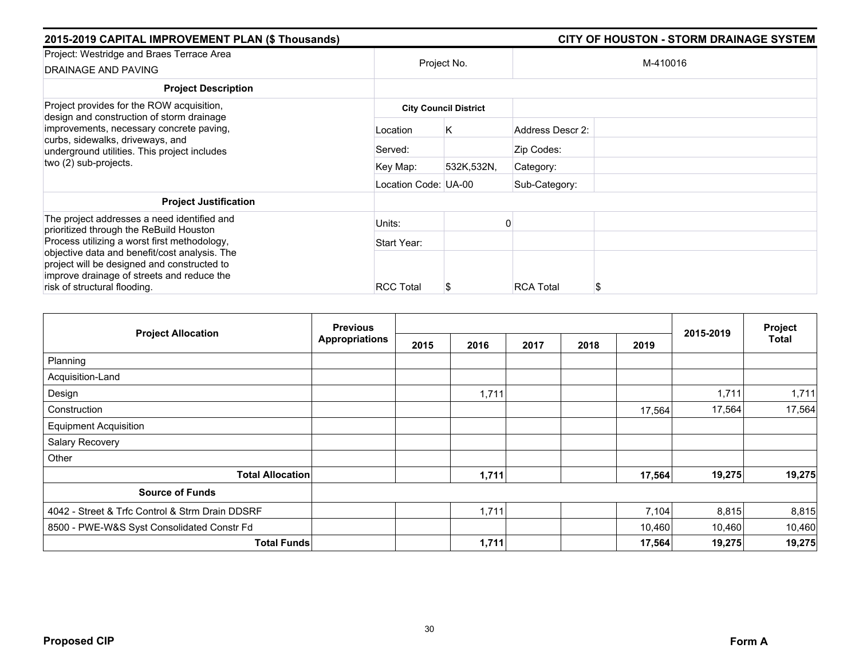| 2015-2019 CAPITAL IMPROVEMENT PLAN (\$ Thousands)                                                                                          |                      |                              | <b>CITY OF HOUSTON - STORM DRAINAGE SYSTEM</b> |
|--------------------------------------------------------------------------------------------------------------------------------------------|----------------------|------------------------------|------------------------------------------------|
| Project: Westridge and Braes Terrace Area<br><b>DRAINAGE AND PAVING</b>                                                                    |                      | Project No.                  | M-410016                                       |
| <b>Project Description</b>                                                                                                                 |                      |                              |                                                |
| Project provides for the ROW acquisition,<br>design and construction of storm drainage                                                     |                      | <b>City Council District</b> |                                                |
| improvements, necessary concrete paving,<br>curbs, sidewalks, driveways, and<br>underground utilities. This project includes               | Location             | Κ                            | Address Descr 2:                               |
|                                                                                                                                            | Served:              |                              | Zip Codes:                                     |
| two (2) sub-projects.                                                                                                                      | Key Map:             | 532K,532N,                   | Category:                                      |
|                                                                                                                                            | Location Code: UA-00 |                              | Sub-Category:                                  |
| <b>Project Justification</b>                                                                                                               |                      |                              |                                                |
| The project addresses a need identified and<br>prioritized through the ReBuild Houston                                                     | Units:               |                              |                                                |
| Process utilizing a worst first methodology,                                                                                               | Start Year:          |                              |                                                |
| objective data and benefit/cost analysis. The<br>project will be designed and constructed to<br>improve drainage of streets and reduce the |                      |                              |                                                |
| risk of structural flooding.                                                                                                               | <b>RCC Total</b>     |                              | <b>RCA Total</b><br>S                          |

|                                                 | <b>Previous</b>       |      |       |      |      |        |           | Project      |
|-------------------------------------------------|-----------------------|------|-------|------|------|--------|-----------|--------------|
| <b>Project Allocation</b>                       | <b>Appropriations</b> | 2015 | 2016  | 2017 | 2018 | 2019   | 2015-2019 | <b>Total</b> |
| Planning                                        |                       |      |       |      |      |        |           |              |
| Acquisition-Land                                |                       |      |       |      |      |        |           |              |
| Design                                          |                       |      | 1,711 |      |      |        | 1,711     | 1,711        |
| Construction                                    |                       |      |       |      |      | 17,564 | 17,564    | 17,564       |
| <b>Equipment Acquisition</b>                    |                       |      |       |      |      |        |           |              |
| Salary Recovery                                 |                       |      |       |      |      |        |           |              |
| Other                                           |                       |      |       |      |      |        |           |              |
| <b>Total Allocation</b>                         |                       |      | 1,711 |      |      | 17,564 | 19,275    | 19,275       |
| <b>Source of Funds</b>                          |                       |      |       |      |      |        |           |              |
| 4042 - Street & Trfc Control & Strm Drain DDSRF |                       |      | 1,711 |      |      | 7,104  | 8,815     | 8,815        |
| 8500 - PWE-W&S Syst Consolidated Constr Fd      |                       |      |       |      |      | 10,460 | 10,460    | 10,460       |
| <b>Total Funds</b>                              |                       |      | 1,711 |      |      | 17,564 | 19,275    | 19,275       |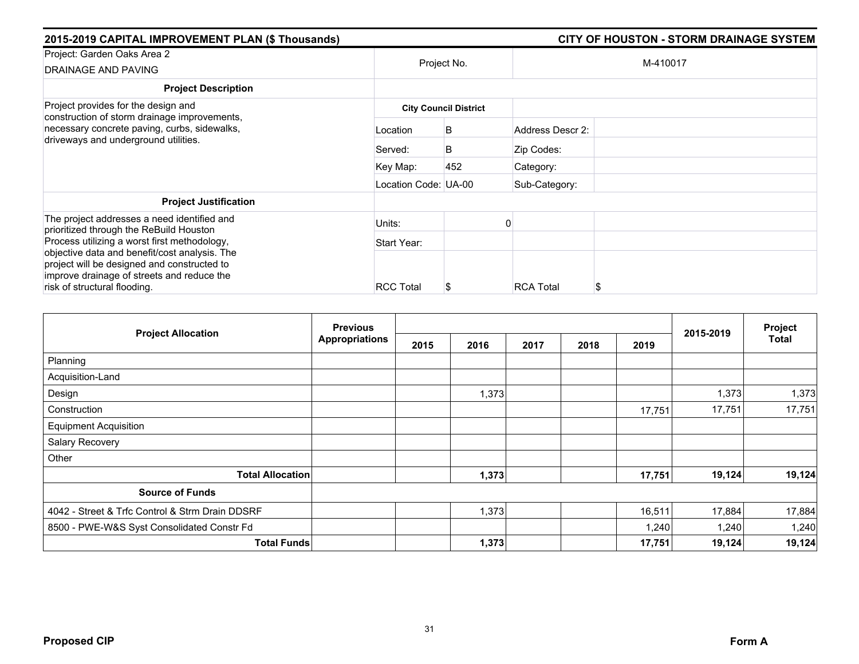| 2015-2019 CAPITAL IMPROVEMENT PLAN (\$ Thousands)                                                                                                                          |                      | <b>CITY OF HOUSTON - STORM DRAINAGE SYSTEM</b> |                  |          |  |
|----------------------------------------------------------------------------------------------------------------------------------------------------------------------------|----------------------|------------------------------------------------|------------------|----------|--|
| Project: Garden Oaks Area 2<br><b>DRAINAGE AND PAVING</b>                                                                                                                  |                      | Project No.                                    |                  | M-410017 |  |
| <b>Project Description</b>                                                                                                                                                 |                      |                                                |                  |          |  |
| Project provides for the design and<br>construction of storm drainage improvements,                                                                                        |                      | <b>City Council District</b>                   |                  |          |  |
| necessary concrete paving, curbs, sidewalks,<br>driveways and underground utilities.                                                                                       | Location             | B                                              | Address Descr 2: |          |  |
|                                                                                                                                                                            | Served:              | B                                              | Zip Codes:       |          |  |
|                                                                                                                                                                            | Key Map:             | 452                                            | Category:        |          |  |
|                                                                                                                                                                            | Location Code: UA-00 |                                                | Sub-Category:    |          |  |
| <b>Project Justification</b>                                                                                                                                               |                      |                                                |                  |          |  |
| The project addresses a need identified and<br>prioritized through the ReBuild Houston                                                                                     | Units:               |                                                |                  |          |  |
| Process utilizing a worst first methodology,                                                                                                                               | Start Year:          |                                                |                  |          |  |
| objective data and benefit/cost analysis. The<br>project will be designed and constructed to<br>improve drainage of streets and reduce the<br>risk of structural flooding. | <b>RCC Total</b>     |                                                | <b>RCA Total</b> | S        |  |

| <b>Project Allocation</b>                       | <b>Previous</b><br>Appropriations |      |       |      |      | Project |           |              |
|-------------------------------------------------|-----------------------------------|------|-------|------|------|---------|-----------|--------------|
|                                                 |                                   | 2015 | 2016  | 2017 | 2018 | 2019    | 2015-2019 | <b>Total</b> |
| Planning                                        |                                   |      |       |      |      |         |           |              |
| Acquisition-Land                                |                                   |      |       |      |      |         |           |              |
| Design                                          |                                   |      | 1,373 |      |      |         | 1,373     | 1,373        |
| Construction                                    |                                   |      |       |      |      | 17,751  | 17,751    | 17,751       |
| <b>Equipment Acquisition</b>                    |                                   |      |       |      |      |         |           |              |
| Salary Recovery                                 |                                   |      |       |      |      |         |           |              |
| Other                                           |                                   |      |       |      |      |         |           |              |
| <b>Total Allocation</b>                         |                                   |      | 1,373 |      |      | 17,751  | 19,124    | 19,124       |
| <b>Source of Funds</b>                          |                                   |      |       |      |      |         |           |              |
| 4042 - Street & Trfc Control & Strm Drain DDSRF |                                   |      | 1,373 |      |      | 16,511  | 17,884    | 17,884       |
| 8500 - PWE-W&S Syst Consolidated Constr Fd      |                                   |      |       |      |      | 1,240   | 1,240     | 1,240        |
| <b>Total Funds</b>                              |                                   |      | 1,373 |      |      | 17,751  | 19,124    | 19,124       |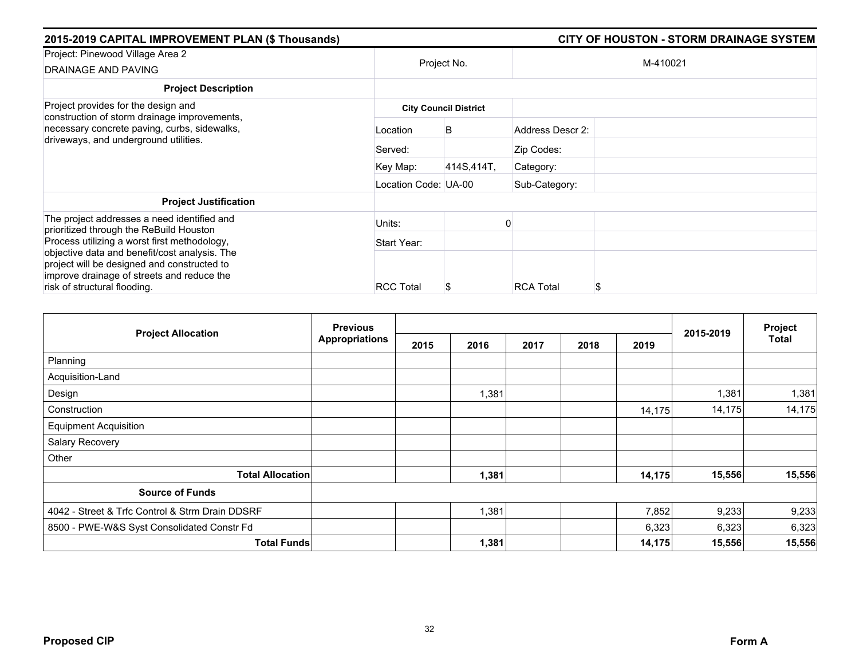| 2015-2019 CAPITAL IMPROVEMENT PLAN (\$ Thousands)                                                                                                                                                                          | <b>CITY OF HOUSTON - STORM DRAINAGE SYSTEM</b> |                              |                        |  |
|----------------------------------------------------------------------------------------------------------------------------------------------------------------------------------------------------------------------------|------------------------------------------------|------------------------------|------------------------|--|
| Project: Pinewood Village Area 2<br>DRAINAGE AND PAVING                                                                                                                                                                    |                                                | Project No.                  | M-410021               |  |
| <b>Project Description</b>                                                                                                                                                                                                 |                                                |                              |                        |  |
| Project provides for the design and<br>construction of storm drainage improvements,                                                                                                                                        |                                                | <b>City Council District</b> |                        |  |
| necessary concrete paving, curbs, sidewalks,<br>driveways, and underground utilities.                                                                                                                                      | Location                                       | B                            | Address Descr 2:       |  |
|                                                                                                                                                                                                                            | Served:                                        |                              | Zip Codes:             |  |
|                                                                                                                                                                                                                            | Key Map:                                       | 414S,414T,                   | Category:              |  |
|                                                                                                                                                                                                                            | Location Code: UA-00                           |                              | Sub-Category:          |  |
| <b>Project Justification</b>                                                                                                                                                                                               |                                                |                              |                        |  |
| The project addresses a need identified and<br>prioritized through the ReBuild Houston                                                                                                                                     | Units:                                         |                              |                        |  |
| Process utilizing a worst first methodology,<br>objective data and benefit/cost analysis. The<br>project will be designed and constructed to<br>improve drainage of streets and reduce the<br>risk of structural flooding. | Start Year:                                    |                              |                        |  |
|                                                                                                                                                                                                                            | <b>RCC Total</b>                               |                              | <b>RCA Total</b><br>\$ |  |

|                                                 | <b>Previous</b> |      |       | Project |      |        |           |        |
|-------------------------------------------------|-----------------|------|-------|---------|------|--------|-----------|--------|
| <b>Project Allocation</b>                       | Appropriations  | 2015 | 2016  | 2017    | 2018 | 2019   | 2015-2019 | Total  |
| Planning                                        |                 |      |       |         |      |        |           |        |
| Acquisition-Land                                |                 |      |       |         |      |        |           |        |
| Design                                          |                 |      | 1,381 |         |      |        | 1,381     | 1,381  |
| Construction                                    |                 |      |       |         |      | 14,175 | 14,175    | 14,175 |
| <b>Equipment Acquisition</b>                    |                 |      |       |         |      |        |           |        |
| Salary Recovery                                 |                 |      |       |         |      |        |           |        |
| Other                                           |                 |      |       |         |      |        |           |        |
| <b>Total Allocation</b>                         |                 |      | 1,381 |         |      | 14,175 | 15,556    | 15,556 |
| <b>Source of Funds</b>                          |                 |      |       |         |      |        |           |        |
| 4042 - Street & Trfc Control & Strm Drain DDSRF |                 |      | 1,381 |         |      | 7,852  | 9,233     | 9,233  |
| 8500 - PWE-W&S Syst Consolidated Constr Fd      |                 |      |       |         |      | 6,323  | 6,323     | 6,323  |
| <b>Total Funds</b>                              |                 |      | 1,381 |         |      | 14,175 | 15,556    | 15,556 |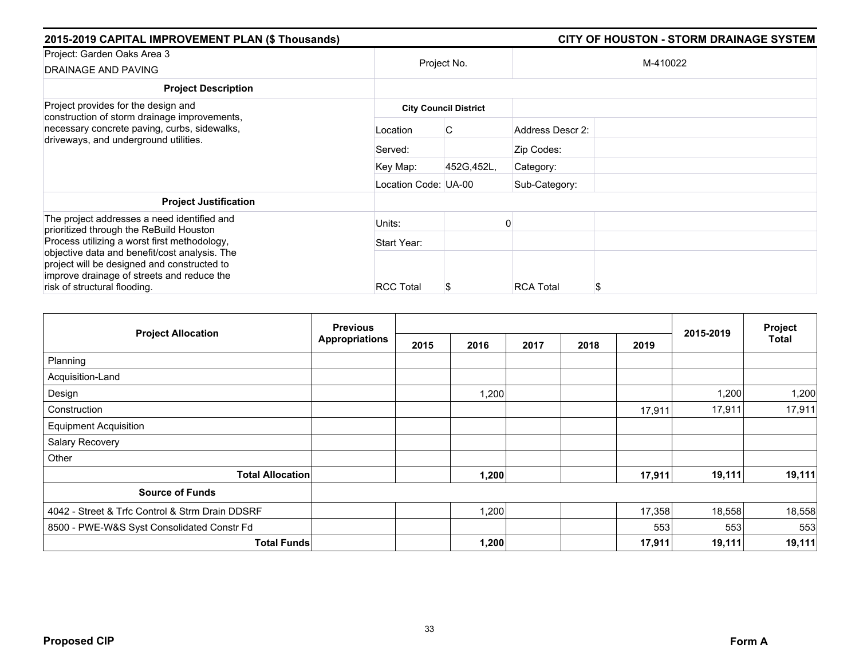| 2015-2019 CAPITAL IMPROVEMENT PLAN (\$ Thousands)                                                                                                                                                                          |                      |                              | <b>CITY OF HOUSTON - STORM DRAINAGE SYSTEM</b> |
|----------------------------------------------------------------------------------------------------------------------------------------------------------------------------------------------------------------------------|----------------------|------------------------------|------------------------------------------------|
| Project: Garden Oaks Area 3<br><b>DRAINAGE AND PAVING</b>                                                                                                                                                                  |                      | Project No.                  | M-410022                                       |
| <b>Project Description</b>                                                                                                                                                                                                 |                      |                              |                                                |
| Project provides for the design and<br>construction of storm drainage improvements,                                                                                                                                        |                      | <b>City Council District</b> |                                                |
| necessary concrete paving, curbs, sidewalks,<br>driveways, and underground utilities.                                                                                                                                      | Location             | C                            | Address Descr 2:                               |
|                                                                                                                                                                                                                            | Served:              |                              | Zip Codes:                                     |
|                                                                                                                                                                                                                            | Key Map:             | 452G, 452L,                  | Category:                                      |
|                                                                                                                                                                                                                            | Location Code: UA-00 |                              | Sub-Category:                                  |
| <b>Project Justification</b>                                                                                                                                                                                               |                      |                              |                                                |
| The project addresses a need identified and<br>prioritized through the ReBuild Houston                                                                                                                                     | Units:               |                              |                                                |
| Process utilizing a worst first methodology,<br>objective data and benefit/cost analysis. The<br>project will be designed and constructed to<br>improve drainage of streets and reduce the<br>risk of structural flooding. | Start Year:          |                              |                                                |
|                                                                                                                                                                                                                            | <b>RCC Total</b>     |                              | <b>RCA Total</b><br>\$                         |

|                                                 | <b>Previous</b>    |      |       |      |      | Project |           |              |
|-------------------------------------------------|--------------------|------|-------|------|------|---------|-----------|--------------|
| <b>Project Allocation</b>                       | Appropriations     | 2015 | 2016  | 2017 | 2018 | 2019    | 2015-2019 | <b>Total</b> |
| Planning                                        |                    |      |       |      |      |         |           |              |
| Acquisition-Land                                |                    |      |       |      |      |         |           |              |
| Design                                          |                    |      | 1,200 |      |      |         | 1,200     | 1,200        |
| Construction                                    |                    |      |       |      |      | 17,911  | 17,911    | 17,911       |
| <b>Equipment Acquisition</b>                    |                    |      |       |      |      |         |           |              |
| Salary Recovery                                 |                    |      |       |      |      |         |           |              |
| Other                                           |                    |      |       |      |      |         |           |              |
| <b>Total Allocation</b>                         |                    |      | 1,200 |      |      | 17,911  | 19,111    | 19,111       |
| <b>Source of Funds</b>                          |                    |      |       |      |      |         |           |              |
| 4042 - Street & Trfc Control & Strm Drain DDSRF |                    |      | ,200  |      |      | 17,358  | 18,558    | 18,558       |
| 8500 - PWE-W&S Syst Consolidated Constr Fd      |                    |      |       |      |      | 553     | 553       | 553          |
|                                                 | <b>Total Funds</b> |      | 1,200 |      |      | 17,911  | 19,111    | 19,111       |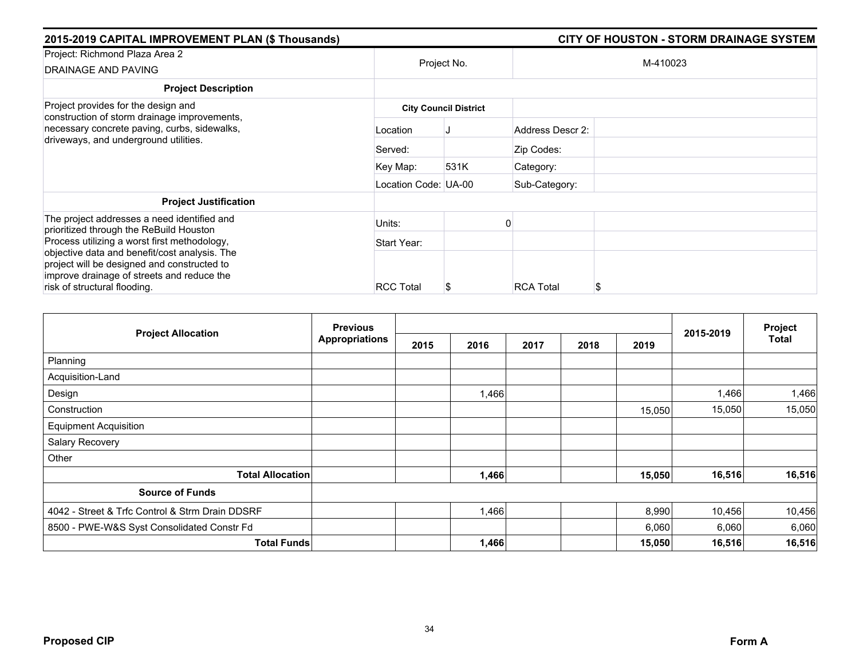| 2015-2019 CAPITAL IMPROVEMENT PLAN (\$ Thousands)                                                                                                                          | <b>CITY OF HOUSTON - STORM DRAINAGE SYSTEM</b> |                              |                        |  |  |
|----------------------------------------------------------------------------------------------------------------------------------------------------------------------------|------------------------------------------------|------------------------------|------------------------|--|--|
| Project: Richmond Plaza Area 2<br><b>DRAINAGE AND PAVING</b>                                                                                                               |                                                | Project No.                  | M-410023               |  |  |
| <b>Project Description</b>                                                                                                                                                 |                                                |                              |                        |  |  |
| Project provides for the design and<br>construction of storm drainage improvements,                                                                                        |                                                | <b>City Council District</b> |                        |  |  |
| necessary concrete paving, curbs, sidewalks,<br>driveways, and underground utilities.                                                                                      | Location                                       |                              | Address Descr 2:       |  |  |
|                                                                                                                                                                            | Served:                                        |                              | Zip Codes:             |  |  |
|                                                                                                                                                                            | Key Map:                                       | 531K                         | Category:              |  |  |
|                                                                                                                                                                            | Location Code: UA-00                           |                              | Sub-Category:          |  |  |
| <b>Project Justification</b>                                                                                                                                               |                                                |                              |                        |  |  |
| The project addresses a need identified and<br>prioritized through the ReBuild Houston                                                                                     | Units:                                         |                              |                        |  |  |
| Process utilizing a worst first methodology,                                                                                                                               | Start Year:                                    |                              |                        |  |  |
| objective data and benefit/cost analysis. The<br>project will be designed and constructed to<br>improve drainage of streets and reduce the<br>risk of structural flooding. | <b>RCC Total</b>                               |                              | <b>RCA Total</b><br>\$ |  |  |

|                                                 | <b>Previous</b>       |      |       | Project |      |        |           |              |
|-------------------------------------------------|-----------------------|------|-------|---------|------|--------|-----------|--------------|
| <b>Project Allocation</b>                       | <b>Appropriations</b> | 2015 | 2016  | 2017    | 2018 | 2019   | 2015-2019 | <b>Total</b> |
| Planning                                        |                       |      |       |         |      |        |           |              |
| Acquisition-Land                                |                       |      |       |         |      |        |           |              |
| Design                                          |                       |      | 1,466 |         |      |        | 1,466     | 1,466        |
| Construction                                    |                       |      |       |         |      | 15,050 | 15,050    | 15,050       |
| <b>Equipment Acquisition</b>                    |                       |      |       |         |      |        |           |              |
| Salary Recovery                                 |                       |      |       |         |      |        |           |              |
| Other                                           |                       |      |       |         |      |        |           |              |
| <b>Total Allocation</b>                         |                       |      | 1,466 |         |      | 15,050 | 16,516    | 16,516       |
| <b>Source of Funds</b>                          |                       |      |       |         |      |        |           |              |
| 4042 - Street & Trfc Control & Strm Drain DDSRF |                       |      | 1,466 |         |      | 8,990  | 10,456    | 10,456       |
| 8500 - PWE-W&S Syst Consolidated Constr Fd      |                       |      |       |         |      | 6,060  | 6,060     | 6,060        |
| <b>Total Funds</b>                              |                       |      | 1,466 |         |      | 15,050 | 16,516    | 16,516       |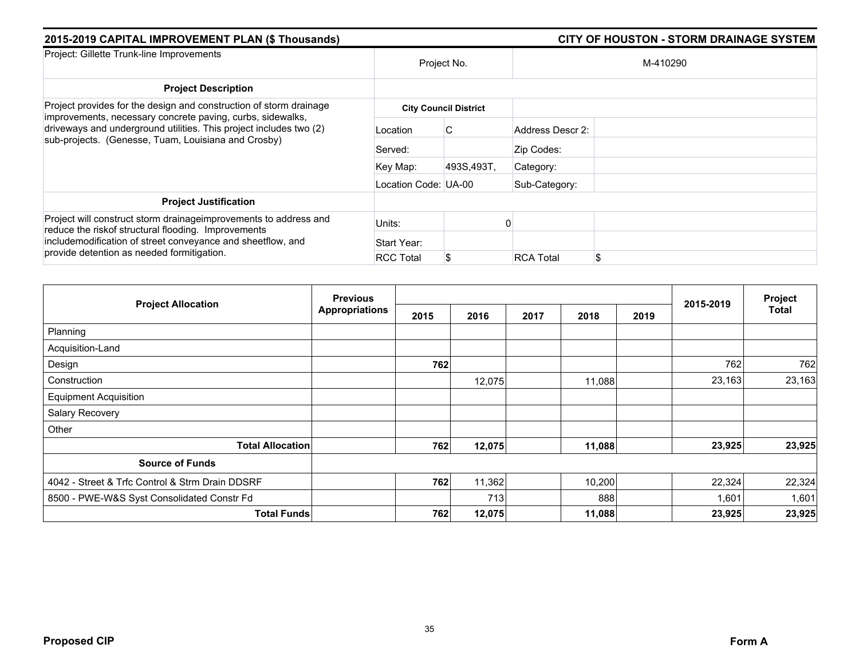| 2015-2019 CAPITAL IMPROVEMENT PLAN (\$ Thousands)                                                                                                                                                                                     |                      | <b>CITY OF HOUSTON - STORM DRAINAGE SYSTEM</b> |                  |          |  |  |  |  |  |
|---------------------------------------------------------------------------------------------------------------------------------------------------------------------------------------------------------------------------------------|----------------------|------------------------------------------------|------------------|----------|--|--|--|--|--|
| Project: Gillette Trunk-line Improvements                                                                                                                                                                                             |                      | Project No.                                    |                  | M-410290 |  |  |  |  |  |
| <b>Project Description</b>                                                                                                                                                                                                            |                      |                                                |                  |          |  |  |  |  |  |
| Project provides for the design and construction of storm drainage<br>improvements, necessary concrete paving, curbs, sidewalks,                                                                                                      |                      | <b>City Council District</b>                   |                  |          |  |  |  |  |  |
| driveways and underground utilities. This project includes two (2)<br>sub-projects. (Genesse, Tuam, Louisiana and Crosby)                                                                                                             | Location             | C.                                             | Address Descr 2: |          |  |  |  |  |  |
|                                                                                                                                                                                                                                       | Served:              |                                                | Zip Codes:       |          |  |  |  |  |  |
|                                                                                                                                                                                                                                       | Key Map:             | 493S,493T,                                     | Category:        |          |  |  |  |  |  |
|                                                                                                                                                                                                                                       | Location Code: UA-00 |                                                | Sub-Category:    |          |  |  |  |  |  |
| <b>Project Justification</b>                                                                                                                                                                                                          |                      |                                                |                  |          |  |  |  |  |  |
| Project will construct storm drainage improvements to address and<br>reduce the riskof structural flooding. Improvements<br>includemodification of street conveyance and sheetflow, and<br>provide detention as needed formitigation. | Units:               |                                                |                  |          |  |  |  |  |  |
|                                                                                                                                                                                                                                       | Start Year:          |                                                |                  |          |  |  |  |  |  |
|                                                                                                                                                                                                                                       | <b>RCC Total</b>     |                                                | <b>RCA Total</b> | \$       |  |  |  |  |  |

| <b>Project Allocation</b>                       | <b>Previous</b>       |      |        |      | Project |      |           |        |
|-------------------------------------------------|-----------------------|------|--------|------|---------|------|-----------|--------|
|                                                 | <b>Appropriations</b> | 2015 | 2016   | 2017 | 2018    | 2019 | 2015-2019 | Total  |
| Planning                                        |                       |      |        |      |         |      |           |        |
| Acquisition-Land                                |                       |      |        |      |         |      |           |        |
| Design                                          |                       | 762  |        |      |         |      | 762       | 762    |
| Construction                                    |                       |      | 12,075 |      | 11,088  |      | 23,163    | 23,163 |
| <b>Equipment Acquisition</b>                    |                       |      |        |      |         |      |           |        |
| Salary Recovery                                 |                       |      |        |      |         |      |           |        |
| Other                                           |                       |      |        |      |         |      |           |        |
| <b>Total Allocation</b>                         |                       | 762  | 12,075 |      | 11,088  |      | 23,925    | 23,925 |
| <b>Source of Funds</b>                          |                       |      |        |      |         |      |           |        |
| 4042 - Street & Trfc Control & Strm Drain DDSRF |                       | 762  | 11,362 |      | 10,200  |      | 22,324    | 22,324 |
| 8500 - PWE-W&S Syst Consolidated Constr Fd      |                       |      | 713    |      | 888     |      | 1,601     | 1,601  |
| <b>Total Funds</b>                              |                       | 762  | 12,075 |      | 11,088  |      | 23,925    | 23,925 |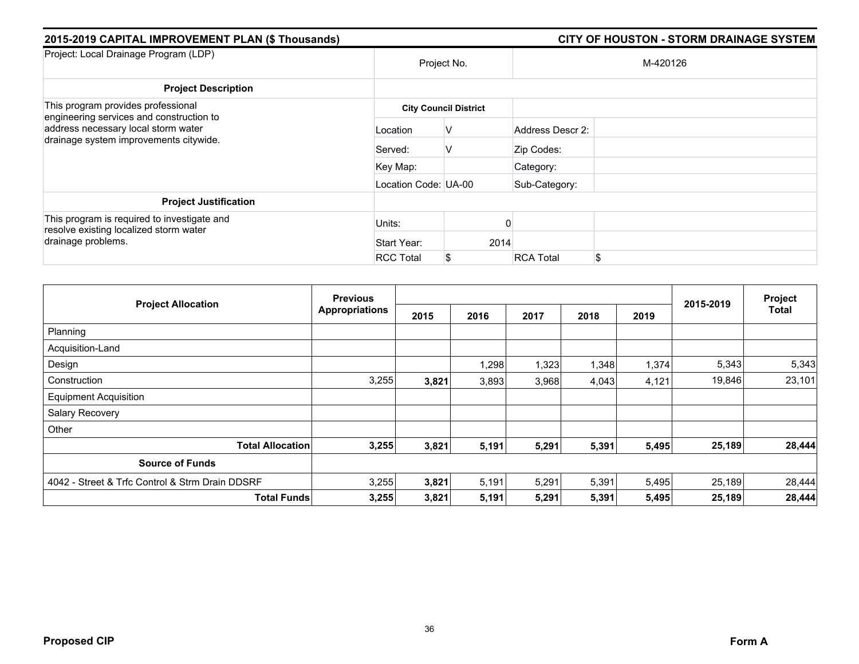| 2015-2019 CAPITAL IMPROVEMENT PLAN (\$ Thousands)                                     |                      |                              |                  | <b>CITY OF HOUSTON - STORM DRAINAGE SYSTEM</b> |
|---------------------------------------------------------------------------------------|----------------------|------------------------------|------------------|------------------------------------------------|
| Project: Local Drainage Program (LDP)                                                 |                      | Project No.                  |                  | M-420126                                       |
| <b>Project Description</b>                                                            |                      |                              |                  |                                                |
| This program provides professional<br>engineering services and construction to        |                      | <b>City Council District</b> |                  |                                                |
| address necessary local storm water                                                   | Location             | v                            | Address Descr 2: |                                                |
| drainage system improvements citywide.                                                | Served:              | V                            | Zip Codes:       |                                                |
|                                                                                       | Key Map:             |                              | Category:        |                                                |
|                                                                                       | Location Code: UA-00 |                              | Sub-Category:    |                                                |
| <b>Project Justification</b>                                                          |                      |                              |                  |                                                |
| This program is required to investigate and<br>resolve existing localized storm water | Units:               |                              |                  |                                                |
| drainage problems.                                                                    | Start Year:          |                              | 2014             |                                                |
|                                                                                       | <b>RCC Total</b>     |                              | <b>RCA Total</b> | \$                                             |

| <b>Project Allocation</b>                       | <b>Previous</b>       |       |       |       |       | Project |           |        |
|-------------------------------------------------|-----------------------|-------|-------|-------|-------|---------|-----------|--------|
|                                                 | <b>Appropriations</b> | 2015  | 2016  | 2017  | 2018  | 2019    | 2015-2019 | Total  |
| Planning                                        |                       |       |       |       |       |         |           |        |
| Acquisition-Land                                |                       |       |       |       |       |         |           |        |
| Design                                          |                       |       | 1,298 | 1,323 | 1,348 | 1,374   | 5,343     | 5,343  |
| Construction                                    | 3,255                 | 3,821 | 3,893 | 3,968 | 4,043 | 4,121   | 19,846    | 23,101 |
| <b>Equipment Acquisition</b>                    |                       |       |       |       |       |         |           |        |
| Salary Recovery                                 |                       |       |       |       |       |         |           |        |
| Other                                           |                       |       |       |       |       |         |           |        |
| <b>Total Allocation</b>                         | 3,255                 | 3,821 | 5,191 | 5,291 | 5,391 | 5,495   | 25,189    | 28,444 |
| <b>Source of Funds</b>                          |                       |       |       |       |       |         |           |        |
| 4042 - Street & Trfc Control & Strm Drain DDSRF | 3,255                 | 3,821 | 5,191 | 5,291 | 5,391 | 5,495   | 25,189    | 28,444 |
| <b>Total Funds</b>                              | 3,255                 | 3,821 | 5,191 | 5,291 | 5,391 | 5,495   | 25,189    | 28,444 |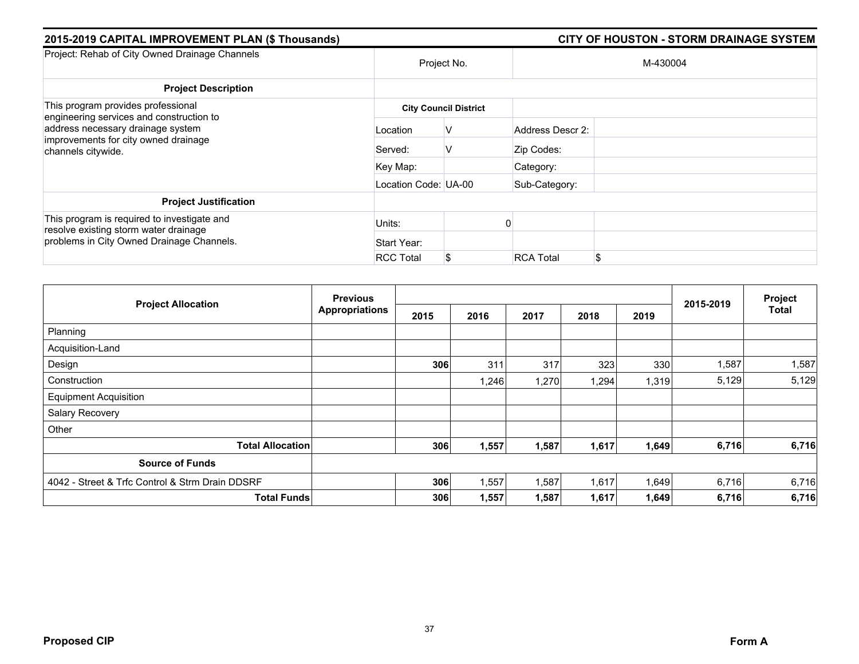| 2015-2019 CAPITAL IMPROVEMENT PLAN (\$ Thousands)                                                                                           |                      |                              |                  | <b>CITY OF HOUSTON - STORM DRAINAGE SYSTEM</b> |
|---------------------------------------------------------------------------------------------------------------------------------------------|----------------------|------------------------------|------------------|------------------------------------------------|
| Project: Rehab of City Owned Drainage Channels                                                                                              | Project No.          |                              |                  | M-430004                                       |
| <b>Project Description</b>                                                                                                                  |                      |                              |                  |                                                |
| This program provides professional                                                                                                          |                      | <b>City Council District</b> |                  |                                                |
| engineering services and construction to<br>address necessary drainage system<br>improvements for city owned drainage<br>channels citywide. | Location             | V                            | Address Descr 2: |                                                |
|                                                                                                                                             | Served:              | V                            | Zip Codes:       |                                                |
|                                                                                                                                             | Key Map:             |                              | Category:        |                                                |
|                                                                                                                                             | Location Code: UA-00 |                              | Sub-Category:    |                                                |
| <b>Project Justification</b>                                                                                                                |                      |                              |                  |                                                |
| This program is required to investigate and<br>resolve existing storm water drainage                                                        | Units:               |                              |                  |                                                |
| problems in City Owned Drainage Channels.                                                                                                   | Start Year:          |                              |                  |                                                |
|                                                                                                                                             | <b>RCC Total</b>     | \$                           | <b>RCA Total</b> | \$.                                            |

| <b>Project Allocation</b>                       | <b>Previous</b>       |      |       |       |       | Project |           |       |
|-------------------------------------------------|-----------------------|------|-------|-------|-------|---------|-----------|-------|
|                                                 | <b>Appropriations</b> | 2015 | 2016  | 2017  | 2018  | 2019    | 2015-2019 | Total |
| Planning                                        |                       |      |       |       |       |         |           |       |
| Acquisition-Land                                |                       |      |       |       |       |         |           |       |
| Design                                          |                       | 306  | 311   | 317   | 323   | 330     | 1,587     | 1,587 |
| Construction                                    |                       |      | 1,246 | 1,270 | 1,294 | 1,319   | 5,129     | 5,129 |
| <b>Equipment Acquisition</b>                    |                       |      |       |       |       |         |           |       |
| Salary Recovery                                 |                       |      |       |       |       |         |           |       |
| Other                                           |                       |      |       |       |       |         |           |       |
| <b>Total Allocation</b>                         |                       | 306  | 1,557 | 1,587 | 1,617 | 1,649   | 6,716     | 6,716 |
| <b>Source of Funds</b>                          |                       |      |       |       |       |         |           |       |
| 4042 - Street & Trfc Control & Strm Drain DDSRF |                       | 306  | 1,557 | 1,587 | 1,617 | 1,649   | 6,716     | 6,716 |
| <b>Total Funds</b>                              |                       | 306  | 1,557 | 1,587 | 1,617 | 1,649   | 6,716     | 6,716 |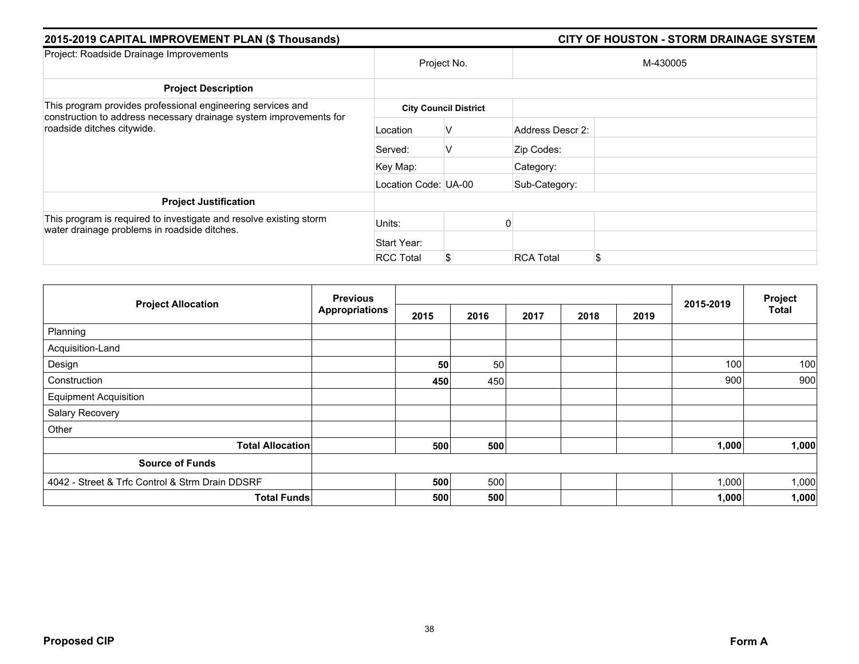| 2015-2019 CAPITAL IMPROVEMENT PLAN (\$ Thousands)                                                                                                               |                      |                              |                  |          |  |
|-----------------------------------------------------------------------------------------------------------------------------------------------------------------|----------------------|------------------------------|------------------|----------|--|
| Project: Roadside Drainage Improvements                                                                                                                         |                      | Project No.                  |                  | M-430005 |  |
| <b>Project Description</b>                                                                                                                                      |                      |                              |                  |          |  |
| This program provides professional engineering services and<br>construction to address necessary drainage system improvements for<br>roadside ditches citywide. |                      | <b>City Council District</b> |                  |          |  |
|                                                                                                                                                                 | Location             | V                            | Address Descr 2: |          |  |
|                                                                                                                                                                 | Served:              | V                            | Zip Codes:       |          |  |
|                                                                                                                                                                 | Key Map:             |                              | Category:        |          |  |
|                                                                                                                                                                 | Location Code: UA-00 |                              | Sub-Category:    |          |  |
| <b>Project Justification</b>                                                                                                                                    |                      |                              |                  |          |  |
| This program is required to investigate and resolve existing storm<br>water drainage problems in roadside ditches.                                              | Units:               |                              |                  |          |  |
|                                                                                                                                                                 | Start Year:          |                              |                  |          |  |
|                                                                                                                                                                 | <b>RCC Total</b>     | S.                           | <b>RCA Total</b> | \$       |  |

|                                                 | <b>Previous</b> |      |      |      |      |      |           | Project      |
|-------------------------------------------------|-----------------|------|------|------|------|------|-----------|--------------|
| <b>Project Allocation</b>                       | Appropriations  | 2015 | 2016 | 2017 | 2018 | 2019 | 2015-2019 | <b>Total</b> |
| Planning                                        |                 |      |      |      |      |      |           |              |
| Acquisition-Land                                |                 |      |      |      |      |      |           |              |
| Design                                          |                 | 50   | 50   |      |      |      | 100       | 100          |
| Construction                                    |                 | 450  | 450  |      |      |      | 900       | 900          |
| <b>Equipment Acquisition</b>                    |                 |      |      |      |      |      |           |              |
| Salary Recovery                                 |                 |      |      |      |      |      |           |              |
| Other                                           |                 |      |      |      |      |      |           |              |
| <b>Total Allocation</b>                         |                 | 500  | 500  |      |      |      | 1,000     | 1,000        |
| <b>Source of Funds</b>                          |                 |      |      |      |      |      |           |              |
| 4042 - Street & Trfc Control & Strm Drain DDSRF |                 | 500  | 500  |      |      |      | 1,000     | 1,000        |
| <b>Total Funds</b>                              |                 | 500  | 500  |      |      |      | 1,000     | 1,000        |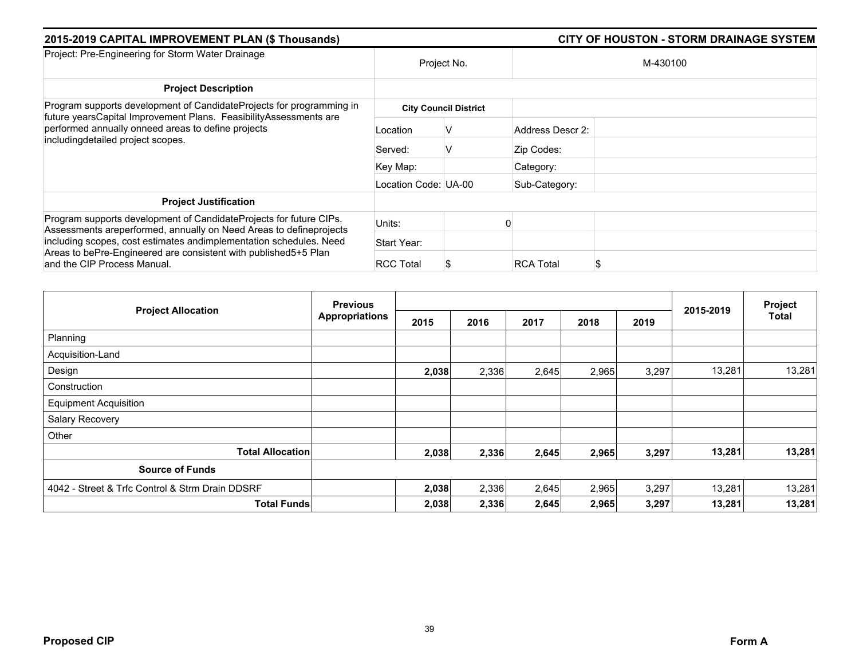| 2015-2019 CAPITAL IMPROVEMENT PLAN (\$ Thousands)                                                                                                                                                                                    |                      | <b>CITY OF HOUSTON - STORM DRAINAGE SYSTEM</b> |                  |          |  |
|--------------------------------------------------------------------------------------------------------------------------------------------------------------------------------------------------------------------------------------|----------------------|------------------------------------------------|------------------|----------|--|
| Project: Pre-Engineering for Storm Water Drainage                                                                                                                                                                                    | Project No.          |                                                |                  | M-430100 |  |
| <b>Project Description</b>                                                                                                                                                                                                           |                      |                                                |                  |          |  |
| Program supports development of CandidateProjects for programming in<br>future yearsCapital Improvement Plans. FeasibilityAssessments are<br>performed annually onneed areas to define projects<br>includingdetailed project scopes. |                      | <b>City Council District</b>                   |                  |          |  |
|                                                                                                                                                                                                                                      | Location             | v                                              | Address Descr 2: |          |  |
|                                                                                                                                                                                                                                      | Served:              | v                                              | Zip Codes:       |          |  |
|                                                                                                                                                                                                                                      | Key Map:             |                                                | Category:        |          |  |
|                                                                                                                                                                                                                                      | Location Code: UA-00 |                                                | Sub-Category:    |          |  |
| <b>Project Justification</b>                                                                                                                                                                                                         |                      |                                                |                  |          |  |
| Program supports development of CandidateProjects for future CIPs.<br>Assessments areperformed, annually on Need Areas to defineprojects                                                                                             | Units:               |                                                |                  |          |  |
| including scopes, cost estimates andimplementation schedules. Need<br>Areas to bePre-Engineered are consistent with published5+5 Plan<br>and the CIP Process Manual.                                                                 | Start Year:          |                                                |                  |          |  |
|                                                                                                                                                                                                                                      | <b>RCC Total</b>     |                                                | <b>RCA Total</b> |          |  |

| <b>Project Allocation</b>                       | <b>Previous</b><br><b>Appropriations</b> |       |       |       |       | Project |           |        |
|-------------------------------------------------|------------------------------------------|-------|-------|-------|-------|---------|-----------|--------|
|                                                 |                                          | 2015  | 2016  | 2017  | 2018  | 2019    | 2015-2019 | Total  |
| Planning                                        |                                          |       |       |       |       |         |           |        |
| Acquisition-Land                                |                                          |       |       |       |       |         |           |        |
| Design                                          |                                          | 2,038 | 2,336 | 2,645 | 2,965 | 3,297   | 13,281    | 13,281 |
| Construction                                    |                                          |       |       |       |       |         |           |        |
| <b>Equipment Acquisition</b>                    |                                          |       |       |       |       |         |           |        |
| Salary Recovery                                 |                                          |       |       |       |       |         |           |        |
| Other                                           |                                          |       |       |       |       |         |           |        |
| <b>Total Allocation</b>                         |                                          | 2,038 | 2,336 | 2,645 | 2,965 | 3,297   | 13,281    | 13,281 |
| <b>Source of Funds</b>                          |                                          |       |       |       |       |         |           |        |
| 4042 - Street & Trfc Control & Strm Drain DDSRF |                                          | 2,038 | 2,336 | 2,645 | 2,965 | 3,297   | 13,281    | 13,281 |
| <b>Total Funds</b>                              |                                          | 2,038 | 2,336 | 2,645 | 2,965 | 3,297   | 13,281    | 13,281 |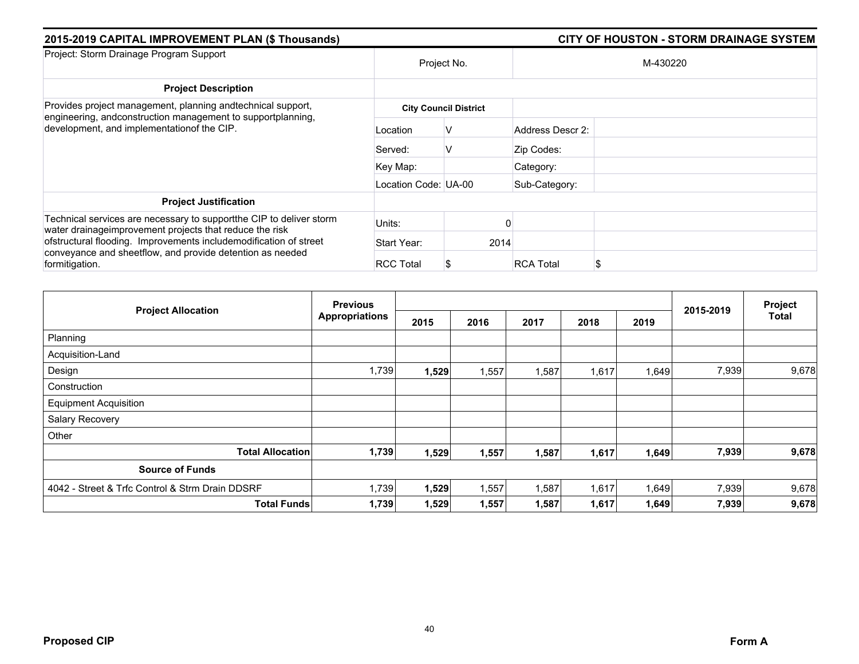| 2015-2019 CAPITAL IMPROVEMENT PLAN (\$ Thousands)                                                                                                                         | <b>CITY OF HOUSTON - STORM DRAINAGE SYSTEM</b> |                              |                       |  |  |
|---------------------------------------------------------------------------------------------------------------------------------------------------------------------------|------------------------------------------------|------------------------------|-----------------------|--|--|
| Project: Storm Drainage Program Support                                                                                                                                   |                                                | Project No.                  | M-430220              |  |  |
| <b>Project Description</b>                                                                                                                                                |                                                |                              |                       |  |  |
| Provides project management, planning and technical support,<br>engineering, andconstruction management to supportplanning,<br>development, and implementationof the CIP. |                                                | <b>City Council District</b> |                       |  |  |
|                                                                                                                                                                           | Location                                       | ν                            | Address Descr 2:      |  |  |
|                                                                                                                                                                           | Served:                                        | V                            | Zip Codes:            |  |  |
|                                                                                                                                                                           | Key Map:                                       |                              | Category:             |  |  |
|                                                                                                                                                                           | Location Code: UA-00                           |                              | Sub-Category:         |  |  |
| <b>Project Justification</b>                                                                                                                                              |                                                |                              |                       |  |  |
| Technical services are necessary to support the CIP to deliver storm<br>water drainageimprovement projects that reduce the risk                                           | Units:                                         |                              |                       |  |  |
| ofstructural flooding. Improvements includemodification of street<br>conveyance and sheetflow, and provide detention as needed<br>formitigation.                          | Start Year:                                    | 2014                         |                       |  |  |
|                                                                                                                                                                           | <b>RCC Total</b>                               |                              | <b>RCA Total</b><br>S |  |  |

|                                                 | <b>Previous</b>       |       |       |       |       |       | 2015-2019 | Project      |
|-------------------------------------------------|-----------------------|-------|-------|-------|-------|-------|-----------|--------------|
| <b>Project Allocation</b>                       | <b>Appropriations</b> | 2015  | 2016  | 2017  | 2018  | 2019  |           | <b>Total</b> |
| Planning                                        |                       |       |       |       |       |       |           |              |
| Acquisition-Land                                |                       |       |       |       |       |       |           |              |
| Design                                          | 1,739                 | 1,529 | 1,557 | 1,587 | 1,617 | 1,649 | 7,939     | 9,678        |
| Construction                                    |                       |       |       |       |       |       |           |              |
| <b>Equipment Acquisition</b>                    |                       |       |       |       |       |       |           |              |
| Salary Recovery                                 |                       |       |       |       |       |       |           |              |
| Other                                           |                       |       |       |       |       |       |           |              |
| <b>Total Allocation</b>                         | 1,739                 | 1,529 | 1,557 | 1,587 | 1,617 | 1,649 | 7,939     | 9,678        |
| <b>Source of Funds</b>                          |                       |       |       |       |       |       |           |              |
| 4042 - Street & Trfc Control & Strm Drain DDSRF | 1,739                 | 1,529 | 1,557 | 1,587 | 1,617 | 1,649 | 7,939     | 9,678        |
| <b>Total Funds</b>                              | 1,739                 | 1,529 | 1,557 | 1,587 | 1,617 | 1,649 | 7,939     | 9,678        |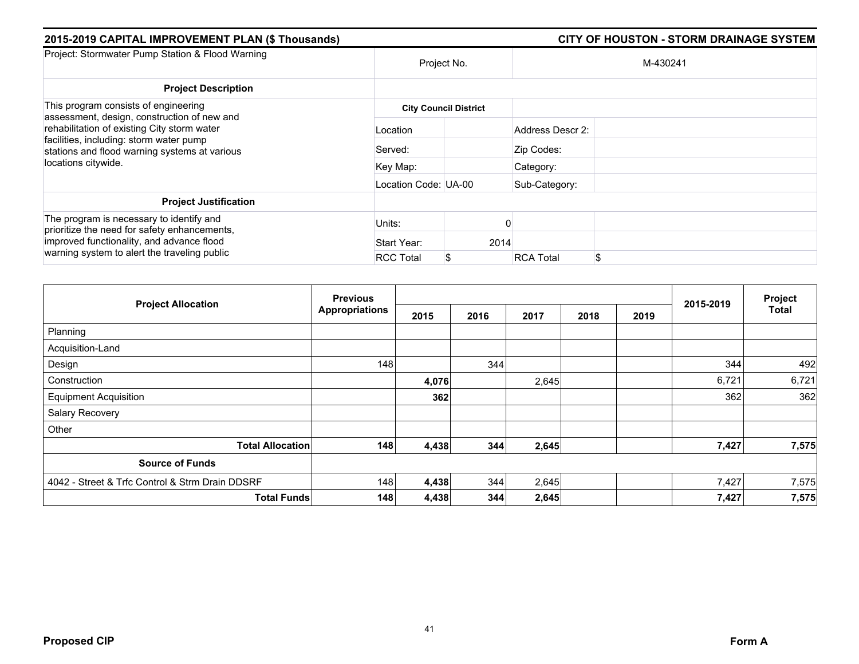| 2015-2019 CAPITAL IMPROVEMENT PLAN (\$ Thousands)                                                                                                                                     |                      | <b>CITY OF HOUSTON - STORM DRAINAGE SYSTEM</b> |                  |          |  |  |  |
|---------------------------------------------------------------------------------------------------------------------------------------------------------------------------------------|----------------------|------------------------------------------------|------------------|----------|--|--|--|
| Project: Stormwater Pump Station & Flood Warning                                                                                                                                      | Project No.          |                                                |                  | M-430241 |  |  |  |
| <b>Project Description</b>                                                                                                                                                            |                      |                                                |                  |          |  |  |  |
| This program consists of engineering<br>assessment, design, construction of new and                                                                                                   |                      | <b>City Council District</b>                   |                  |          |  |  |  |
| rehabilitation of existing City storm water<br>facilities, including: storm water pump<br>stations and flood warning systems at various                                               | Location             |                                                | Address Descr 2: |          |  |  |  |
|                                                                                                                                                                                       | Served:              |                                                | Zip Codes:       |          |  |  |  |
| locations citywide.                                                                                                                                                                   | Key Map:             |                                                | Category:        |          |  |  |  |
|                                                                                                                                                                                       | Location Code: UA-00 |                                                | Sub-Category:    |          |  |  |  |
| <b>Project Justification</b>                                                                                                                                                          |                      |                                                |                  |          |  |  |  |
| The program is necessary to identify and<br>prioritize the need for safety enhancements,<br>improved functionality, and advance flood<br>warning system to alert the traveling public | Units:               |                                                |                  |          |  |  |  |
|                                                                                                                                                                                       | Start Year:          | 2014                                           |                  |          |  |  |  |
|                                                                                                                                                                                       | <b>RCC Total</b>     | S                                              | <b>RCA Total</b> | \$       |  |  |  |

| <b>Project Allocation</b>                       | <b>Previous</b>       |       |      |       |      |      |           | Project      |
|-------------------------------------------------|-----------------------|-------|------|-------|------|------|-----------|--------------|
|                                                 | <b>Appropriations</b> | 2015  | 2016 | 2017  | 2018 | 2019 | 2015-2019 | <b>Total</b> |
| Planning                                        |                       |       |      |       |      |      |           |              |
| Acquisition-Land                                |                       |       |      |       |      |      |           |              |
| Design                                          | 148                   |       | 344  |       |      |      | 344       | 492          |
| Construction                                    |                       | 4,076 |      | 2,645 |      |      | 6,721     | 6,721        |
| <b>Equipment Acquisition</b>                    |                       | 362   |      |       |      |      | 362       | 362          |
| Salary Recovery                                 |                       |       |      |       |      |      |           |              |
| Other                                           |                       |       |      |       |      |      |           |              |
| <b>Total Allocation</b>                         | 148                   | 4,438 | 344  | 2,645 |      |      | 7,427     | 7,575        |
| <b>Source of Funds</b>                          |                       |       |      |       |      |      |           |              |
| 4042 - Street & Trfc Control & Strm Drain DDSRF | 148                   | 4,438 | 344  | 2,645 |      |      | 7,427     | 7,575        |
| <b>Total Funds</b>                              | 148                   | 4,438 | 344  | 2,645 |      |      | 7,427     | 7,575        |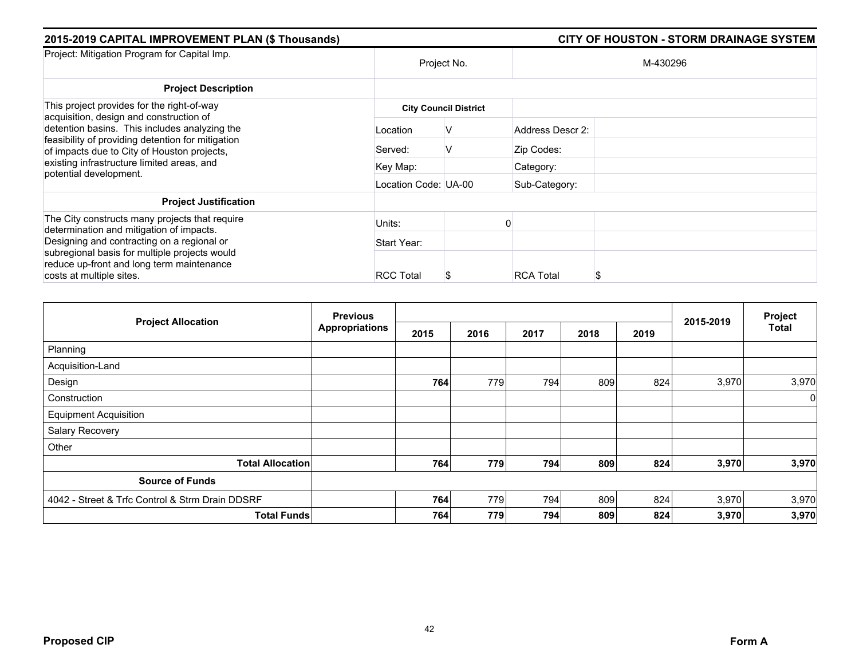| 2015-2019 CAPITAL IMPROVEMENT PLAN (\$ Thousands)                                                                                                 | CITY OF HOUSTON - STORM DRAINAGE SYSTEM |                              |                  |          |  |  |  |
|---------------------------------------------------------------------------------------------------------------------------------------------------|-----------------------------------------|------------------------------|------------------|----------|--|--|--|
| Project: Mitigation Program for Capital Imp.                                                                                                      | Project No.                             |                              |                  | M-430296 |  |  |  |
| <b>Project Description</b>                                                                                                                        |                                         |                              |                  |          |  |  |  |
| This project provides for the right-of-way<br>acquisition, design and construction of                                                             |                                         | <b>City Council District</b> |                  |          |  |  |  |
| detention basins. This includes analyzing the<br>feasibility of providing detention for mitigation<br>of impacts due to City of Houston projects, | Location                                | V                            | Address Descr 2: |          |  |  |  |
|                                                                                                                                                   | Served:                                 | v                            | Zip Codes:       |          |  |  |  |
| existing infrastructure limited areas, and<br>potential development.                                                                              | Key Map:                                |                              | Category:        |          |  |  |  |
|                                                                                                                                                   | Location Code: UA-00                    |                              | Sub-Category:    |          |  |  |  |
| <b>Project Justification</b>                                                                                                                      |                                         |                              |                  |          |  |  |  |
| The City constructs many projects that require<br>determination and mitigation of impacts.                                                        | Units:                                  |                              |                  |          |  |  |  |
| Designing and contracting on a regional or<br>subregional basis for multiple projects would<br>reduce up-front and long term maintenance          | Start Year:                             |                              |                  |          |  |  |  |
|                                                                                                                                                   | <b>RCC Total</b>                        |                              | <b>RCA Total</b> |          |  |  |  |
| costs at multiple sites.                                                                                                                          |                                         | J                            |                  |          |  |  |  |

| <b>Project Allocation</b>                       | <b>Previous</b>       |      |      |      | 2015-2019 | Project |       |              |
|-------------------------------------------------|-----------------------|------|------|------|-----------|---------|-------|--------------|
|                                                 | <b>Appropriations</b> | 2015 | 2016 | 2017 | 2018      | 2019    |       | <b>Total</b> |
| Planning                                        |                       |      |      |      |           |         |       |              |
| Acquisition-Land                                |                       |      |      |      |           |         |       |              |
| Design                                          |                       | 764  | 779  | 794  | 809       | 824     | 3,970 | 3,970        |
| Construction                                    |                       |      |      |      |           |         |       | $\Omega$     |
| <b>Equipment Acquisition</b>                    |                       |      |      |      |           |         |       |              |
| Salary Recovery                                 |                       |      |      |      |           |         |       |              |
| Other                                           |                       |      |      |      |           |         |       |              |
| <b>Total Allocation</b>                         |                       | 764  | 779  | 794  | 809       | 824     | 3,970 | 3,970        |
| <b>Source of Funds</b>                          |                       |      |      |      |           |         |       |              |
| 4042 - Street & Trfc Control & Strm Drain DDSRF |                       | 764  | 779  | 794  | 809       | 824     | 3,970 | 3,970        |
| <b>Total Funds</b>                              |                       | 764  | 779  | 794  | 809       | 824     | 3,970 | 3,970        |